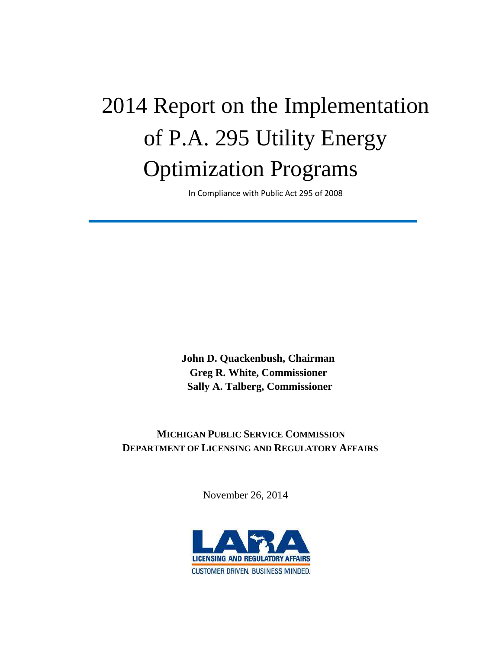# 2014 Report on the Implementation of P.A. 295 Utility Energy Optimization Programs

In Compliance with Public Act 295 of 2008

 **John D. Quackenbush, Chairman Greg R. White, Commissioner Sally A. Talberg, Commissioner**

# **MICHIGAN PUBLIC SERVICE COMMISSION DEPARTMENT OF LICENSING AND REGULATORY AFFAIRS**

November 26, 2014

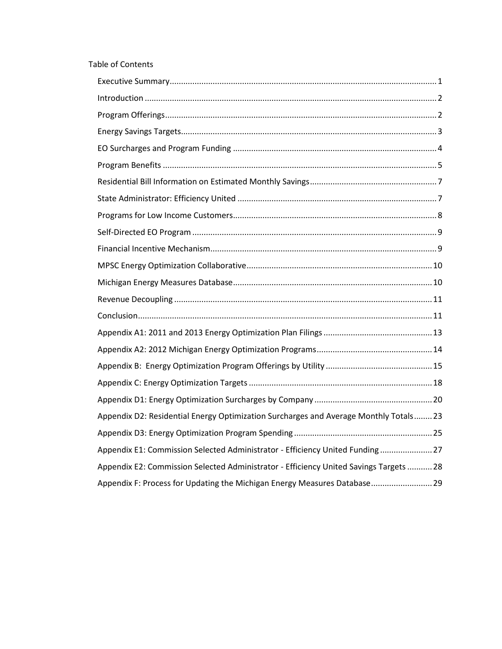#### Table of Contents

| Appendix D2: Residential Energy Optimization Surcharges and Average Monthly Totals 23  |
|----------------------------------------------------------------------------------------|
|                                                                                        |
| Appendix E1: Commission Selected Administrator - Efficiency United Funding 27          |
| Appendix E2: Commission Selected Administrator - Efficiency United Savings Targets  28 |
| Appendix F: Process for Updating the Michigan Energy Measures Database29               |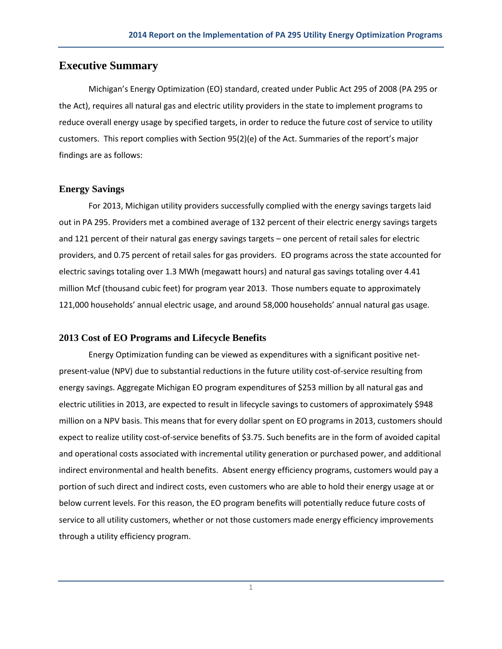# **Executive Summary**

Michigan's Energy Optimization (EO) standard, created under Public Act 295 of 2008 (PA 295 or the Act), requires all natural gas and electric utility providers in the state to implement programs to reduce overall energy usage by specified targets, in order to reduce the future cost of service to utility customers. This report complies with Section 95(2)(e) of the Act. Summaries of the report's major findings are as follows:

#### **Energy Savings**

For 2013, Michigan utility providers successfully complied with the energy savings targets laid out in PA 295. Providers met a combined average of 132 percent of their electric energy savings targets and 121 percent of their natural gas energy savings targets – one percent of retail sales for electric providers, and 0.75 percent of retail sales for gas providers. EO programs across the state accounted for electric savings totaling over 1.3 MWh (megawatt hours) and natural gas savings totaling over 4.41 million Mcf (thousand cubic feet) for program year 2013. Those numbers equate to approximately 121,000 households' annual electric usage, and around 58,000 households' annual natural gas usage.

#### **2013 Cost of EO Programs and Lifecycle Benefits**

Energy Optimization funding can be viewed as expenditures with a significant positive netpresent-value (NPV) due to substantial reductions in the future utility cost-of-service resulting from energy savings. Aggregate Michigan EO program expenditures of \$253 million by all natural gas and electric utilities in 2013, are expected to result in lifecycle savings to customers of approximately \$948 million on a NPV basis. This means that for every dollar spent on EO programs in 2013, customers should expect to realize utility cost-of-service benefits of \$3.75. Such benefits are in the form of avoided capital and operational costs associated with incremental utility generation or purchased power, and additional indirect environmental and health benefits. Absent energy efficiency programs, customers would pay a portion of such direct and indirect costs, even customers who are able to hold their energy usage at or below current levels. For this reason, the EO program benefits will potentially reduce future costs of service to all utility customers, whether or not those customers made energy efficiency improvements through a utility efficiency program.

1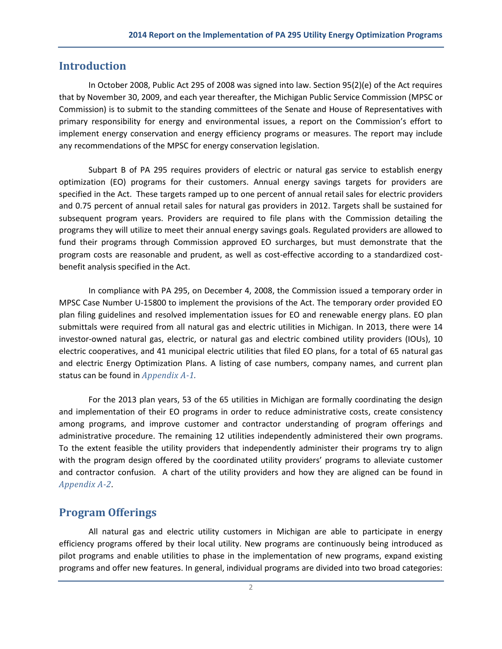## <span id="page-3-0"></span>**Introduction**

In October 2008, Public Act 295 of 2008 was signed into law. Section 95(2)(e) of the Act requires that by November 30, 2009, and each year thereafter, the Michigan Public Service Commission (MPSC or Commission) is to submit to the standing committees of the Senate and House of Representatives with primary responsibility for energy and environmental issues, a report on the Commission's effort to implement energy conservation and energy efficiency programs or measures. The report may include any recommendations of the MPSC for energy conservation legislation.

Subpart B of PA 295 requires providers of electric or natural gas service to establish energy optimization (EO) programs for their customers. Annual energy savings targets for providers are specified in the Act. These targets ramped up to one percent of annual retail sales for electric providers and 0.75 percent of annual retail sales for natural gas providers in 2012. Targets shall be sustained for subsequent program years. Providers are required to file plans with the Commission detailing the programs they will utilize to meet their annual energy savings goals. Regulated providers are allowed to fund their programs through Commission approved EO surcharges, but must demonstrate that the program costs are reasonable and prudent, as well as cost-effective according to a standardized costbenefit analysis specified in the Act.

In compliance with PA 295, on December 4, 2008, the Commission issued a temporary order in MPSC Case Number U-15800 to implement the provisions of the Act. The temporary order provided EO plan filing guidelines and resolved implementation issues for EO and renewable energy plans. EO plan submittals were required from all natural gas and electric utilities in Michigan. In 2013, there were 14 investor-owned natural gas, electric, or natural gas and electric combined utility providers (IOUs), 10 electric cooperatives, and 41 municipal electric utilities that filed EO plans, for a total of 65 natural gas and electric Energy Optimization Plans. A listing of case numbers, company names, and current plan status can be found in *Appendix A-1.*

For the 2013 plan years, 53 of the 65 utilities in Michigan are formally coordinating the design and implementation of their EO programs in order to reduce administrative costs, create consistency among programs, and improve customer and contractor understanding of program offerings and administrative procedure. The remaining 12 utilities independently administered their own programs. To the extent feasible the utility providers that independently administer their programs try to align with the program design offered by the coordinated utility providers' programs to alleviate customer and contractor confusion. A chart of the utility providers and how they are aligned can be found in *Appendix A-2.*

#### <span id="page-3-1"></span>**Program Offerings**

All natural gas and electric utility customers in Michigan are able to participate in energy efficiency programs offered by their local utility. New programs are continuously being introduced as pilot programs and enable utilities to phase in the implementation of new programs, expand existing programs and offer new features. In general, individual programs are divided into two broad categories: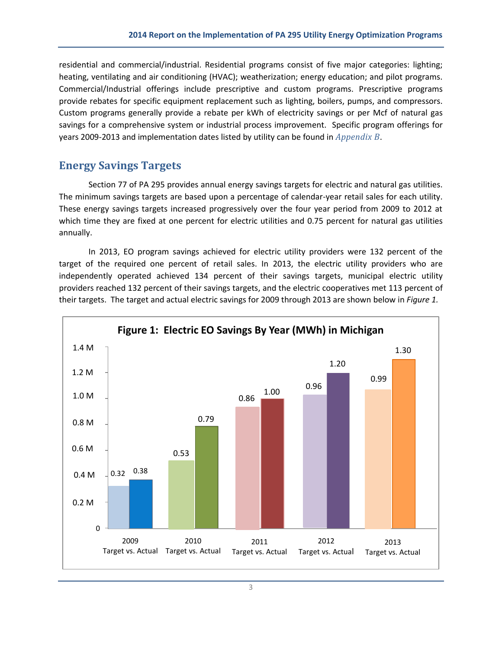residential and commercial/industrial. Residential programs consist of five major categories: lighting; heating, ventilating and air conditioning (HVAC); weatherization; energy education; and pilot programs. Commercial/Industrial offerings include prescriptive and custom programs. Prescriptive programs provide rebates for specific equipment replacement such as lighting, boilers, pumps, and compressors. Custom programs generally provide a rebate per kWh of electricity savings or per Mcf of natural gas savings for a comprehensive system or industrial process improvement. Specific program offerings for years 2009-2013 and implementation dates listed by utility can be found in *Appendix B*.

# <span id="page-4-0"></span>**Energy Savings Targets**

Section 77 of PA 295 provides annual energy savings targets for electric and natural gas utilities. The minimum savings targets are based upon a percentage of calendar-year retail sales for each utility. These energy savings targets increased progressively over the four year period from 2009 to 2012 at which time they are fixed at one percent for electric utilities and 0.75 percent for natural gas utilities annually.

In 2013, EO program savings achieved for electric utility providers were 132 percent of the target of the required one percent of retail sales. In 2013, the electric utility providers who are independently operated achieved 134 percent of their savings targets, municipal electric utility providers reached 132 percent of their savings targets, and the electric cooperatives met 113 percent of their targets. The target and actual electric savings for 2009 through 2013 are shown below in *Figure 1.*

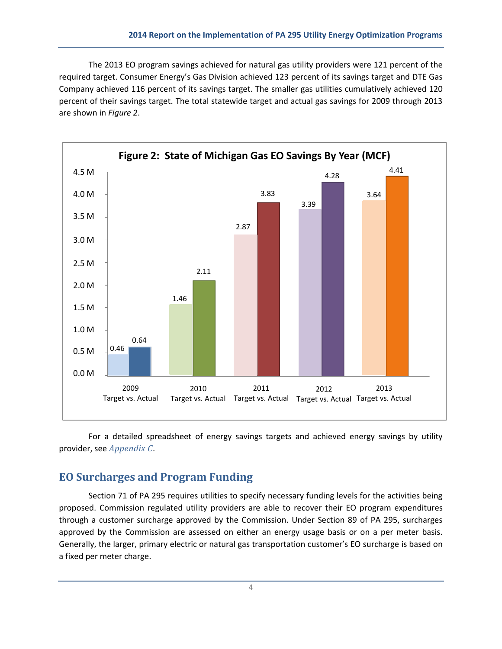The 2013 EO program savings achieved for natural gas utility providers were 121 percent of the required target. Consumer Energy's Gas Division achieved 123 percent of its savings target and DTE Gas Company achieved 116 percent of its savings target. The smaller gas utilities cumulatively achieved 120 percent of their savings target. The total statewide target and actual gas savings for 2009 through 2013 are shown in *Figure 2*.



For a detailed spreadsheet of energy savings targets and achieved energy savings by utility provider, see *Appendix C*.

## <span id="page-5-0"></span>**EO Surcharges and Program Funding**

Section 71 of PA 295 requires utilities to specify necessary funding levels for the activities being proposed. Commission regulated utility providers are able to recover their EO program expenditures through a customer surcharge approved by the Commission. Under Section 89 of PA 295, surcharges approved by the Commission are assessed on either an energy usage basis or on a per meter basis. Generally, the larger, primary electric or natural gas transportation customer's EO surcharge is based on a fixed per meter charge.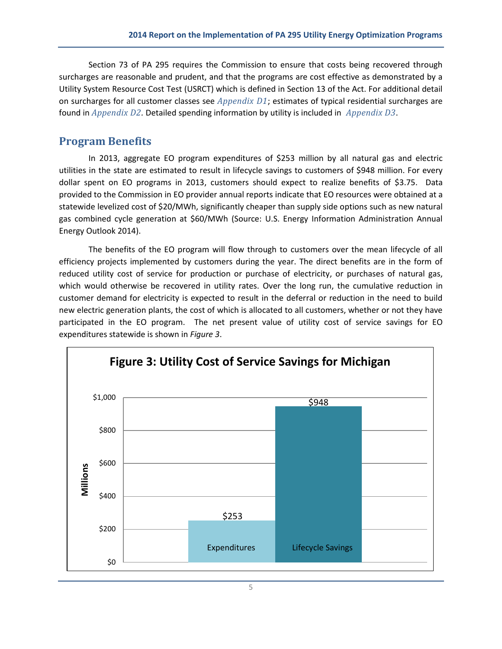Section 73 of PA 295 requires the Commission to ensure that costs being recovered through surcharges are reasonable and prudent, and that the programs are cost effective as demonstrated by a Utility System Resource Cost Test (USRCT) which is defined in Section 13 of the Act. For additional detail on surcharges for all customer classes see *Appendix D1*; estimates of typical residential surcharges are found in *Appendix D2.* Detailed spending information by utility is included in *Appendix D3*.

# <span id="page-6-0"></span>**Program Benefits**

In 2013, aggregate EO program expenditures of \$253 million by all natural gas and electric utilities in the state are estimated to result in lifecycle savings to customers of \$948 million. For every dollar spent on EO programs in 2013, customers should expect to realize benefits of \$3.75. Data provided to the Commission in EO provider annual reports indicate that EO resources were obtained at a statewide levelized cost of \$20/MWh, significantly cheaper than supply side options such as new natural gas combined cycle generation at \$60/MWh (Source: [U.S. Energy Information Administration Annual](http://www.eia.gov/forecasts/aeo/electricity_generation.cfm)  [Energy Outlook 2014](http://www.eia.gov/forecasts/aeo/electricity_generation.cfm)).

The benefits of the EO program will flow through to customers over the mean lifecycle of all efficiency projects implemented by customers during the year. The direct benefits are in the form of reduced utility cost of service for production or purchase of electricity, or purchases of natural gas, which would otherwise be recovered in utility rates. Over the long run, the cumulative reduction in customer demand for electricity is expected to result in the deferral or reduction in the need to build new electric generation plants, the cost of which is allocated to all customers, whether or not they have participated in the EO program. The net present value of utility cost of service savings for EO expenditures statewide is shown in *Figure 3*.

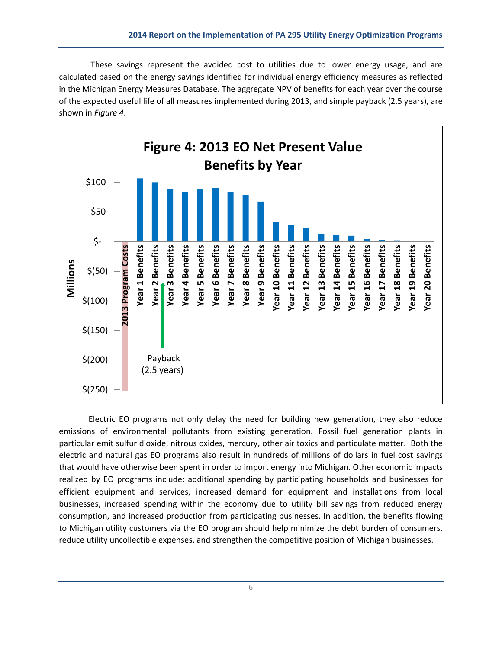These savings represent the avoided cost to utilities due to lower energy usage, and are calculated based on the energy savings identified for individual energy efficiency measures as reflected in the Michigan Energy Measures Database. The aggregate NPV of benefits for each year over the course of the expected useful life of all measures implemented during 2013, and simple payback (2.5 years), are shown in *Figure 4*.



Electric EO programs not only delay the need for building new generation, they also reduce emissions of environmental pollutants from existing generation. Fossil fuel generation plants in particular emit sulfur dioxide, nitrous oxides, mercury, other air toxics and particulate matter. Both the electric and natural gas EO programs also result in hundreds of millions of dollars in fuel cost savings that would have otherwise been spent in order to import energy into Michigan. Other economic impacts realized by EO programs include: additional spending by participating households and businesses for efficient equipment and services, increased demand for equipment and installations from local businesses, increased spending within the economy due to utility bill savings from reduced energy consumption, and increased production from participating businesses. In addition, the benefits flowing to Michigan utility customers via the EO program should help minimize the debt burden of consumers, reduce utility uncollectible expenses, and strengthen the competitive position of Michigan businesses.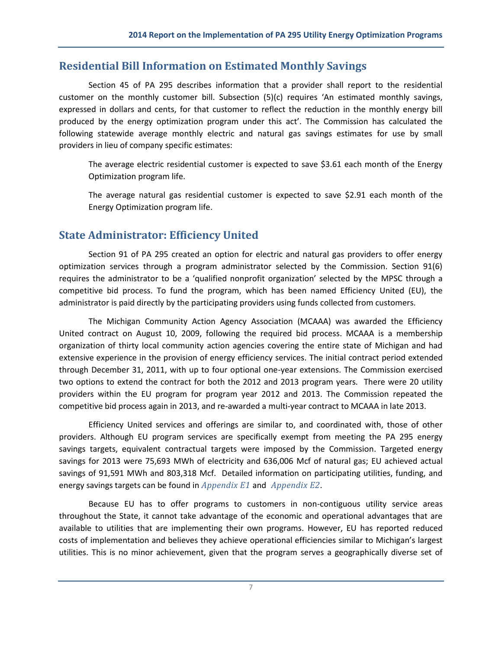## <span id="page-8-0"></span>**Residential Bill Information on Estimated Monthly Savings**

Section 45 of PA 295 describes information that a provider shall report to the residential customer on the monthly customer bill. Subsection (5)(c) requires 'An estimated monthly savings, expressed in dollars and cents, for that customer to reflect the reduction in the monthly energy bill produced by the energy optimization program under this act'. The Commission has calculated the following statewide average monthly electric and natural gas savings estimates for use by small providers in lieu of company specific estimates:

The average electric residential customer is expected to save \$3.61 each month of the Energy Optimization program life.

The average natural gas residential customer is expected to save \$2.91 each month of the Energy Optimization program life.

# <span id="page-8-1"></span>**State Administrator: Efficiency United**

Section 91 of PA 295 created an option for electric and natural gas providers to offer energy optimization services through a program administrator selected by the Commission. Section 91(6) requires the administrator to be a 'qualified nonprofit organization' selected by the MPSC through a competitive bid process. To fund the program, which has been named Efficiency United (EU), the administrator is paid directly by the participating providers using funds collected from customers.

The Michigan Community Action Agency Association (MCAAA) was awarded the Efficiency United contract on August 10, 2009, following the required bid process. MCAAA is a membership organization of thirty local community action agencies covering the entire state of Michigan and had extensive experience in the provision of energy efficiency services. The initial contract period extended through December 31, 2011, with up to four optional one-year extensions. The Commission exercised two options to extend the contract for both the 2012 and 2013 program years. There were 20 utility providers within the EU program for program year 2012 and 2013. The Commission repeated the competitive bid process again in 2013, and re-awarded a multi-year contract to MCAAA in late 2013.

Efficiency United services and offerings are similar to, and coordinated with, those of other providers. Although EU program services are specifically exempt from meeting the PA 295 energy savings targets, equivalent contractual targets were imposed by the Commission. Targeted energy savings for 2013 were 75,693 MWh of electricity and 636,006 Mcf of natural gas; EU achieved actual savings of 91,591 MWh and 803,318 Mcf. Detailed information on participating utilities, funding, and energy savings targets can be found in *Appendix E1* and *Appendix E2.*

Because EU has to offer programs to customers in non-contiguous utility service areas throughout the State, it cannot take advantage of the economic and operational advantages that are available to utilities that are implementing their own programs. However, EU has reported reduced costs of implementation and believes they achieve operational efficiencies similar to Michigan's largest utilities. This is no minor achievement, given that the program serves a geographically diverse set of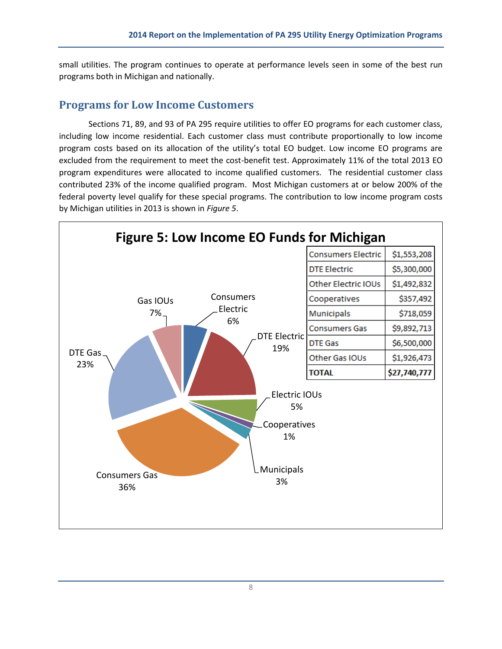small utilities. The program continues to operate at performance levels seen in some of the best run programs both in Michigan and nationally.

## <span id="page-9-0"></span>**Programs for Low Income Customers**

Sections 71, 89, and 93 of PA 295 require utilities to offer EO programs for each customer class, including low income residential. Each customer class must contribute proportionally to low income program costs based on its allocation of the utility's total EO budget. Low income EO programs are excluded from the requirement to meet the cost-benefit test. Approximately 11% of the total 2013 EO program expenditures were allocated to income qualified customers. The residential customer class contributed 23% of the income qualified program. Most Michigan customers at or below 200% of the federal poverty level qualify for these special programs. The contribution to low income program costs by Michigan utilities in 2013 is shown in *Figure 5*.

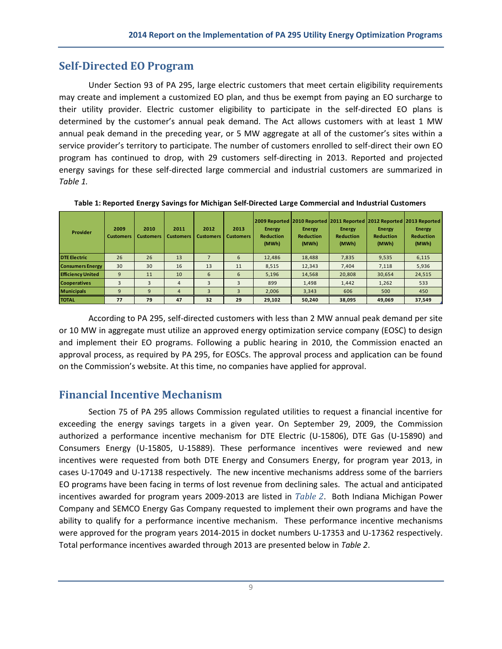## <span id="page-10-0"></span>**Self-Directed EO Program**

Under Section 93 of PA 295, large electric customers that meet certain eligibility requirements may create and implement a customized EO plan, and thus be exempt from paying an EO surcharge to their utility provider. Electric customer eligibility to participate in the self-directed EO plans is determined by the customer's annual peak demand. The Act allows customers with at least 1 MW annual peak demand in the preceding year, or 5 MW aggregate at all of the customer's sites within a service provider's territory to participate. The number of customers enrolled to self-direct their own EO program has continued to drop, with 29 customers self-directing in 2013. Reported and projected energy savings for these self-directed large commercial and industrial customers are summarized in *Table 1.*

| Provider                 | 2009<br><b>Customers</b> | 2010<br><b>Customers</b> | 2011<br><b>Customers</b> | 2012<br><b>Customers</b> | 2013<br><b>Customers</b> | <b>Energy</b><br><b>Reduction</b><br>(MWh) | <b>Energy</b><br><b>Reduction</b><br>(MWh) | <b>Energy</b><br><b>Reduction</b><br>(MWh) | Energy<br><b>Reduction</b><br>(MWh) | 2009 Reported 2010 Reported 2011 Reported 2012 Reported 2013 Reported<br><b>Energy</b><br><b>Reduction</b><br>(MWh) |
|--------------------------|--------------------------|--------------------------|--------------------------|--------------------------|--------------------------|--------------------------------------------|--------------------------------------------|--------------------------------------------|-------------------------------------|---------------------------------------------------------------------------------------------------------------------|
| <b>DTE Electric</b>      | 26                       | 26                       | 13                       |                          | 6                        | 12,486                                     | 18,488                                     | 7,835                                      | 9,535                               | 6,115                                                                                                               |
| <b>Consumers Energy</b>  | 30                       | 30                       | 16                       | 13                       | 11                       | 8,515                                      | 12,343                                     | 7,404                                      | 7,118                               | 5,936                                                                                                               |
| <b>Efficiency United</b> | 9                        | 11                       | 10                       | 6                        | 6                        | 5,196                                      | 14,568                                     | 20,808                                     | 30,654                              | 24,515                                                                                                              |
| <b>Cooperatives</b>      | 3                        | 3                        | 4                        | 3                        | 3                        | 899                                        | 1,498                                      | 1,442                                      | 1,262                               | 533                                                                                                                 |
| <b>Municipals</b>        | 9                        | 9                        | 4                        | 3                        | 3                        | 2,006                                      | 3,343                                      | 606                                        | 500                                 | 450                                                                                                                 |
| <b>TOTAL</b>             | 77                       | 79                       | 47                       | 32                       | 29                       | 29,102                                     | 50,240                                     | 38,095                                     | 49,069                              | 37,549                                                                                                              |
|                          |                          |                          |                          |                          |                          |                                            |                                            |                                            |                                     |                                                                                                                     |

**Table 1: Reported Energy Savings for Michigan Self-Directed Large Commercial and Industrial Customers**

According to PA 295, self-directed customers with less than 2 MW annual peak demand per site or 10 MW in aggregate must utilize an approved energy optimization service company (EOSC) to design and implement their EO programs. Following a public hearing in 2010, the Commission enacted an approval process, as required by PA 295, for EOSCs. The approval process and application can be found on the Commission's [website.](http://www.michigan.gov/mpsc/0,4639,7-159-52495_54478---,00.html) At this time, no companies have applied for approval.

## <span id="page-10-1"></span>**Financial Incentive Mechanism**

Section 75 of PA 295 allows Commission regulated utilities to request a financial incentive for exceeding the energy savings targets in a given year. On September 29, 2009, the Commission authorized a performance incentive mechanism for DTE Electric (U-15806), DTE Gas (U-15890) and Consumers Energy (U-15805, U-15889). These performance incentives were reviewed and new incentives were requested from both DTE Energy and Consumers Energy, for program year 2013, in cases U-17049 and U-17138 respectively. The new incentive mechanisms address some of the barriers EO programs have been facing in terms of lost revenue from declining sales. The actual and anticipated incentives awarded for program years 2009-2013 are listed in *Table 2*. Both Indiana Michigan Power Company and SEMCO Energy Gas Company requested to implement their own programs and have the ability to qualify for a performance incentive mechanism. These performance incentive mechanisms were approved for the program years 2014-2015 in docket numbers U-17353 and U-17362 respectively. Total performance incentives awarded through 2013 are presented below in *Table 2*.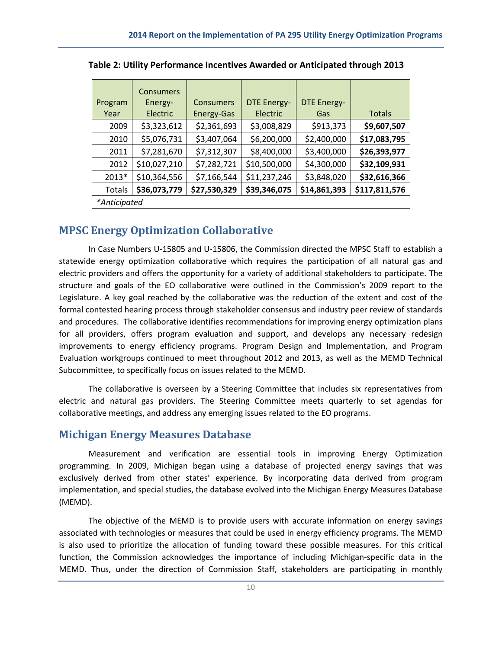| Program<br>Year | <b>Consumers</b><br>Energy-<br>Electric | <b>Consumers</b><br><b>Energy-Gas</b> | <b>DTE Energy-</b><br>Electric | <b>DTE Energy-</b><br>Gas | <b>Totals</b> |
|-----------------|-----------------------------------------|---------------------------------------|--------------------------------|---------------------------|---------------|
| 2009            | \$3,323,612                             | \$2,361,693                           | \$3,008,829                    | \$913,373                 | \$9,607,507   |
| 2010            | \$5,076,731                             | \$3,407,064                           | \$6,200,000                    | \$2,400,000               | \$17,083,795  |
| 2011            | \$7,281,670                             | \$7,312,307                           | \$8,400,000                    | \$3,400,000               | \$26,393,977  |
| 2012            | \$10,027,210                            | \$7,282,721                           | \$10,500,000                   | \$4,300,000               | \$32,109,931  |
| 2013*           | \$10,364,556                            | \$7,166,544                           | \$11,237,246                   | \$3,848,020               | \$32,616,366  |
| <b>Totals</b>   | \$36,073,779                            | \$27,530,329                          | \$39,346,075                   | \$14,861,393              | \$117,811,576 |
| *Anticipated    |                                         |                                       |                                |                           |               |

**Table 2: Utility Performance Incentives Awarded or Anticipated through 2013**

#### <span id="page-11-0"></span>**MPSC Energy Optimization Collaborative**

In Case Numbers U-15805 and U-15806, the Commission directed the MPSC Staff to establish a statewide energy optimization collaborative which requires the participation of all natural gas and electric providers and offers the opportunity for a variety of additional stakeholders to participate. The structure and goals of the EO collaborative were outlined in the Commission's 2009 report to the Legislature. A key goal reached by the collaborative was the reduction of the extent and cost of the formal contested hearing process through stakeholder consensus and industry peer review of standards and procedures. The collaborative identifies recommendations for improving energy optimization plans for all providers, offers program evaluation and support, and develops any necessary redesign improvements to energy efficiency programs. Program Design and Implementation, and Program Evaluation workgroups continued to meet throughout 2012 and 2013, as well as the MEMD Technical Subcommittee, to specifically focus on issues related to the MEMD.

The collaborative is overseen by a Steering Committee that includes six representatives from electric and natural gas providers. The Steering Committee meets quarterly to set agendas for collaborative meetings, and address any emerging issues related to the EO programs.

#### <span id="page-11-1"></span>**Michigan Energy Measures Database**

Measurement and verification are essential tools in improving Energy Optimization programming. In 2009, Michigan began using a database of projected energy savings that was exclusively derived from other states' experience. By incorporating data derived from program implementation, and special studies, the database evolved into the Michigan Energy Measures Database (MEMD).

The objective of the MEMD is to provide users with accurate information on energy savings associated with technologies or measures that could be used in energy efficiency programs. The MEMD is also used to prioritize the allocation of funding toward these possible measures. For this critical function, the Commission acknowledges the importance of including Michigan-specific data in the MEMD. Thus, under the direction of Commission Staff, stakeholders are participating in monthly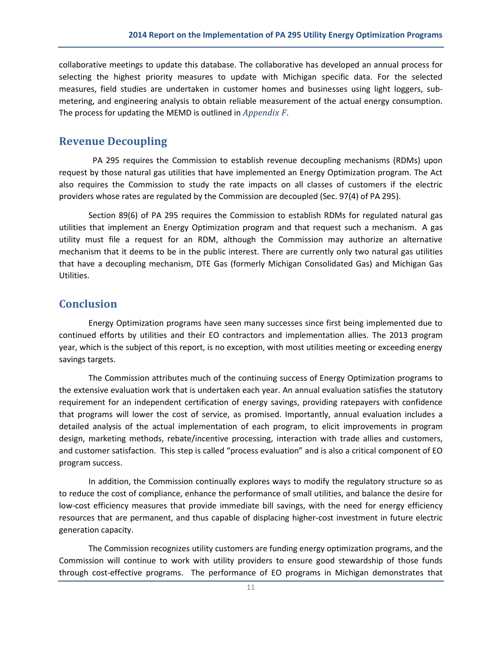collaborative meetings to update this database. The collaborative has developed an annual process for selecting the highest priority measures to update with Michigan specific data. For the selected measures, field studies are undertaken in customer homes and businesses using light loggers, submetering, and engineering analysis to obtain reliable measurement of the actual energy consumption. The process for updating the MEMD is outlined in *Appendix F*.

#### <span id="page-12-0"></span>**Revenue Decoupling**

 PA 295 requires the Commission to establish revenue decoupling mechanisms (RDMs) upon request by those natural gas utilities that have implemented an Energy Optimization program. The Act also requires the Commission to study the rate impacts on all classes of customers if the electric providers whose rates are regulated by the Commission are decoupled (Sec. 97(4) of PA 295).

Section 89(6) of PA 295 requires the Commission to establish RDMs for regulated natural gas utilities that implement an Energy Optimization program and that request such a mechanism. A gas utility must file a request for an RDM, although the Commission may authorize an alternative mechanism that it deems to be in the public interest. There are currently only two natural gas utilities that have a decoupling mechanism, DTE Gas (formerly Michigan Consolidated Gas) and Michigan Gas Utilities.

#### **Conclusion**

Energy Optimization programs have seen many successes since first being implemented due to continued efforts by utilities and their EO contractors and implementation allies. The 2013 program year, which is the subject of this report, is no exception, with most utilities meeting or exceeding energy savings targets.

The Commission attributes much of the continuing success of Energy Optimization programs to the extensive evaluation work that is undertaken each year. An annual evaluation satisfies the statutory requirement for an independent certification of energy savings, providing ratepayers with confidence that programs will lower the cost of service, as promised. Importantly, annual evaluation includes a detailed analysis of the actual implementation of each program, to elicit improvements in program design, marketing methods, rebate/incentive processing, interaction with trade allies and customers, and customer satisfaction. This step is called "process evaluation" and is also a critical component of EO program success.

In addition, the Commission continually explores ways to modify the regulatory structure so as to reduce the cost of compliance, enhance the performance of small utilities, and balance the desire for low-cost efficiency measures that provide immediate bill savings, with the need for energy efficiency resources that are permanent, and thus capable of displacing higher-cost investment in future electric generation capacity.

The Commission recognizes utility customers are funding energy optimization programs, and the Commission will continue to work with utility providers to ensure good stewardship of those funds through cost-effective programs. The performance of EO programs in Michigan demonstrates that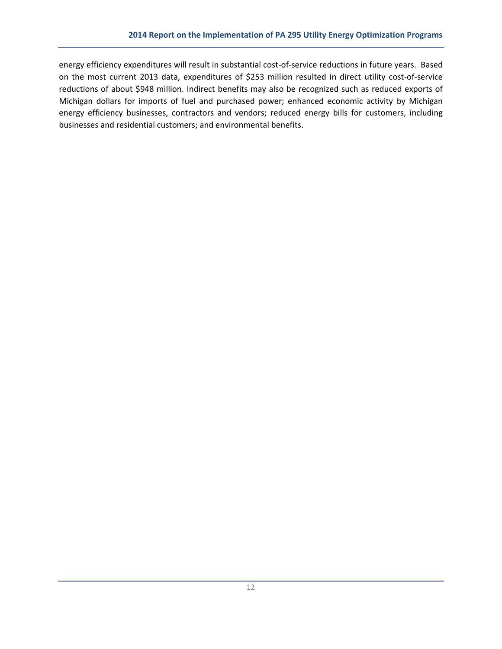energy efficiency expenditures will result in substantial cost-of-service reductions in future years. Based on the most current 2013 data, expenditures of \$253 million resulted in direct utility cost-of-service reductions of about \$948 million. Indirect benefits may also be recognized such as reduced exports of Michigan dollars for imports of fuel and purchased power; enhanced economic activity by Michigan energy efficiency businesses, contractors and vendors; reduced energy bills for customers, including businesses and residential customers; and environmental benefits.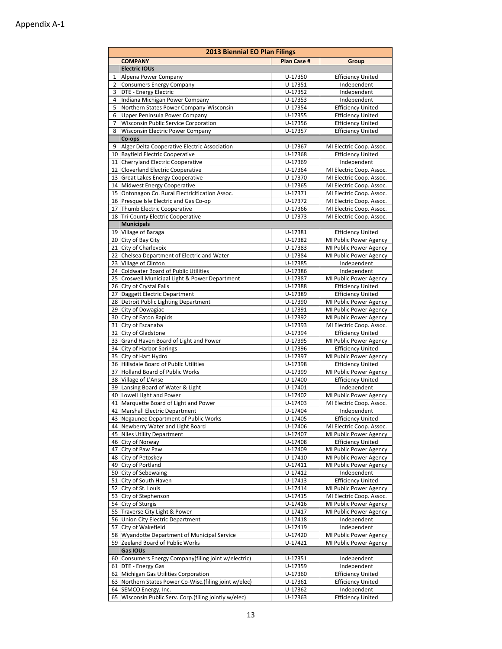|          | <b>2013 Biennial EO Plan Filings</b>                                                         |                        |                                                      |  |  |  |  |  |  |  |  |
|----------|----------------------------------------------------------------------------------------------|------------------------|------------------------------------------------------|--|--|--|--|--|--|--|--|
|          | <b>COMPANY</b>                                                                               | <b>Plan Case #</b>     | Group                                                |  |  |  |  |  |  |  |  |
|          | <b>Electric IOUs</b>                                                                         |                        |                                                      |  |  |  |  |  |  |  |  |
| 1        | Alpena Power Company                                                                         | U-17350                | <b>Efficiency United</b>                             |  |  |  |  |  |  |  |  |
| 2        | <b>Consumers Energy Company</b>                                                              | U-17351                | Independent                                          |  |  |  |  |  |  |  |  |
| 3        | DTE - Energy Electric                                                                        | U-17352                | Independent                                          |  |  |  |  |  |  |  |  |
| 4        | Indiana Michigan Power Company                                                               | U-17353                | Independent                                          |  |  |  |  |  |  |  |  |
| 5        | Northern States Power Company-Wisconsin                                                      | U-17354                | <b>Efficiency United</b>                             |  |  |  |  |  |  |  |  |
| 6<br>7   | Upper Peninsula Power Company<br>Wisconsin Public Service Corporation                        | U-17355<br>U-17356     | <b>Efficiency United</b><br><b>Efficiency United</b> |  |  |  |  |  |  |  |  |
| 8        | Wisconsin Electric Power Company                                                             | U-17357                | <b>Efficiency United</b>                             |  |  |  |  |  |  |  |  |
|          | Co-ops                                                                                       |                        |                                                      |  |  |  |  |  |  |  |  |
| 9        | Alger Delta Cooperative Electric Association                                                 | U-17367                | MI Electric Coop. Assoc.                             |  |  |  |  |  |  |  |  |
|          | 10 Bayfield Electric Cooperative                                                             | U-17368                | <b>Efficiency United</b>                             |  |  |  |  |  |  |  |  |
|          | 11 Cherryland Electric Cooperative                                                           | U-17369                | Independent                                          |  |  |  |  |  |  |  |  |
|          | 12 Cloverland Electric Cooperative                                                           | U-17364                | MI Electric Coop. Assoc.                             |  |  |  |  |  |  |  |  |
| 13       | Great Lakes Energy Cooperative                                                               | U-17370                | MI Electric Coop. Assoc.                             |  |  |  |  |  |  |  |  |
|          | 14 Midwest Energy Cooperative                                                                | U-17365                | MI Electric Coop. Assoc.                             |  |  |  |  |  |  |  |  |
| 15       | Ontonagon Co. Rural Electricification Assoc.                                                 | U-17371                | MI Electric Coop. Assoc.                             |  |  |  |  |  |  |  |  |
|          | 16 Presque Isle Electric and Gas Co-op<br>17 Thumb Electric Cooperative                      | U-17372<br>U-17366     | MI Electric Coop. Assoc.<br>MI Electric Coop. Assoc. |  |  |  |  |  |  |  |  |
|          | 18 Tri-County Electric Cooperative                                                           | U-17373                | MI Electric Coop. Assoc.                             |  |  |  |  |  |  |  |  |
|          | <b>Municipals</b>                                                                            |                        |                                                      |  |  |  |  |  |  |  |  |
| 19       | Village of Baraga                                                                            | U-17381                | <b>Efficiency United</b>                             |  |  |  |  |  |  |  |  |
|          | 20 City of Bay City                                                                          | U-17382                | MI Public Power Agency                               |  |  |  |  |  |  |  |  |
|          | 21 City of Charlevoix                                                                        | U-17383                | MI Public Power Agency                               |  |  |  |  |  |  |  |  |
|          | 22 Chelsea Department of Electric and Water                                                  | U-17384                | MI Public Power Agency                               |  |  |  |  |  |  |  |  |
|          | 23 Village of Clinton                                                                        | U-17385                | Independent                                          |  |  |  |  |  |  |  |  |
|          | 24 Coldwater Board of Public Utilities                                                       | U-17386                | Independent                                          |  |  |  |  |  |  |  |  |
| 25       | Croswell Municipal Light & Power Department                                                  | U-17387                | MI Public Power Agency                               |  |  |  |  |  |  |  |  |
|          | 26 City of Crystal Falls                                                                     | U-17388                | <b>Efficiency United</b>                             |  |  |  |  |  |  |  |  |
| 27       | Daggett Electric Department<br>28 Detroit Public Lighting Department                         | U-17389<br>U-17390     | <b>Efficiency United</b>                             |  |  |  |  |  |  |  |  |
|          | 29 City of Dowagiac                                                                          | U-17391                | MI Public Power Agency<br>MI Public Power Agency     |  |  |  |  |  |  |  |  |
|          | 30 City of Eaton Rapids                                                                      | U-17392                | MI Public Power Agency                               |  |  |  |  |  |  |  |  |
|          | 31 City of Escanaba                                                                          | U-17393                | MI Electric Coop. Assoc.                             |  |  |  |  |  |  |  |  |
|          | 32 City of Gladstone                                                                         | U-17394                | <b>Efficiency United</b>                             |  |  |  |  |  |  |  |  |
| 33       | Grand Haven Board of Light and Power                                                         | U-17395                | MI Public Power Agency                               |  |  |  |  |  |  |  |  |
|          | 34 City of Harbor Springs                                                                    | $U - 17396$            | <b>Efficiency United</b>                             |  |  |  |  |  |  |  |  |
|          | 35 City of Hart Hydro                                                                        | U-17397                | MI Public Power Agency                               |  |  |  |  |  |  |  |  |
|          | 36 Hillsdale Board of Public Utilities                                                       | U-17398                | <b>Efficiency United</b>                             |  |  |  |  |  |  |  |  |
| 37       | <b>Holland Board of Public Works</b>                                                         | U-17399                | MI Public Power Agency                               |  |  |  |  |  |  |  |  |
|          | 38 Village of L'Anse                                                                         | U-17400                | <b>Efficiency United</b>                             |  |  |  |  |  |  |  |  |
|          | 39 Lansing Board of Water & Light<br>40 Lowell Light and Power                               | U-17401<br>U-17402     | Independent<br>MI Public Power Agency                |  |  |  |  |  |  |  |  |
|          | 41 Marquette Board of Light and Power                                                        | U-17403                | MI Electric Coop. Assoc.                             |  |  |  |  |  |  |  |  |
|          | 42 Marshall Electric Department                                                              | U-17404                | Independent                                          |  |  |  |  |  |  |  |  |
|          | 43 Negaunee Department of Public Works                                                       | U-17405                | <b>Efficiency United</b>                             |  |  |  |  |  |  |  |  |
|          | 44 Newberry Water and Light Board                                                            | U-17406                | MI Electric Coop. Assoc.                             |  |  |  |  |  |  |  |  |
|          | 45 Niles Utility Department                                                                  | U-17407                | MI Public Power Agency                               |  |  |  |  |  |  |  |  |
|          | 46 City of Norway                                                                            | U-17408                | <b>Efficiency United</b>                             |  |  |  |  |  |  |  |  |
|          | 47 City of Paw Paw                                                                           | U-17409                | MI Public Power Agency                               |  |  |  |  |  |  |  |  |
|          | 48 City of Petoskey                                                                          | U-17410                | MI Public Power Agency                               |  |  |  |  |  |  |  |  |
|          | 49 City of Portland                                                                          | U-17411                | MI Public Power Agency                               |  |  |  |  |  |  |  |  |
| 50       | City of Sebewaing                                                                            | U-17412<br>$U - 17413$ | Independent                                          |  |  |  |  |  |  |  |  |
| 51<br>52 | City of South Haven<br>City of St. Louis                                                     | U-17414                | <b>Efficiency United</b><br>MI Public Power Agency   |  |  |  |  |  |  |  |  |
| 53       | City of Stephenson                                                                           | $U - 17415$            | MI Electric Coop. Assoc.                             |  |  |  |  |  |  |  |  |
|          | 54 City of Sturgis                                                                           | U-17416                | MI Public Power Agency                               |  |  |  |  |  |  |  |  |
|          | 55 Traverse City Light & Power                                                               | U-17417                | MI Public Power Agency                               |  |  |  |  |  |  |  |  |
|          | 56 Union City Electric Department                                                            | U-17418                | Independent                                          |  |  |  |  |  |  |  |  |
| 57       | City of Wakefield                                                                            | U-17419                | Independent                                          |  |  |  |  |  |  |  |  |
|          | 58 Wyandotte Department of Municipal Service                                                 | U-17420                | MI Public Power Agency                               |  |  |  |  |  |  |  |  |
|          | 59 Zeeland Board of Public Works                                                             | $U - 17421$            | MI Public Power Agency                               |  |  |  |  |  |  |  |  |
|          | Gas IOUs                                                                                     |                        |                                                      |  |  |  |  |  |  |  |  |
| 60       | Consumers Energy Company(filing joint w/electric)                                            | U-17351                | Independent                                          |  |  |  |  |  |  |  |  |
|          | 61   DTE - Energy Gas                                                                        | U-17359                | Independent                                          |  |  |  |  |  |  |  |  |
| 62       | Michigan Gas Utilities Corporation<br>63 Northern States Power Co-Wisc.(filing joint w/elec) | U-17360<br>U-17361     | <b>Efficiency United</b><br><b>Efficiency United</b> |  |  |  |  |  |  |  |  |
|          | 64 SEMCO Energy, Inc.                                                                        | U-17362                | Independent                                          |  |  |  |  |  |  |  |  |
|          | 65 Wisconsin Public Serv. Corp.(filing jointly w/elec)                                       | U-17363                | <b>Efficiency United</b>                             |  |  |  |  |  |  |  |  |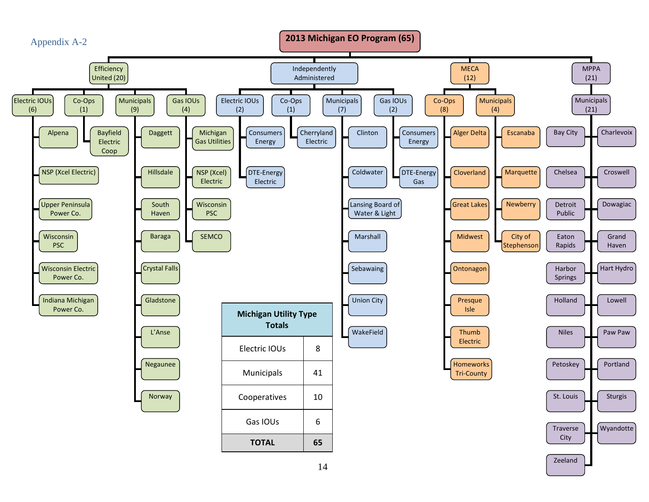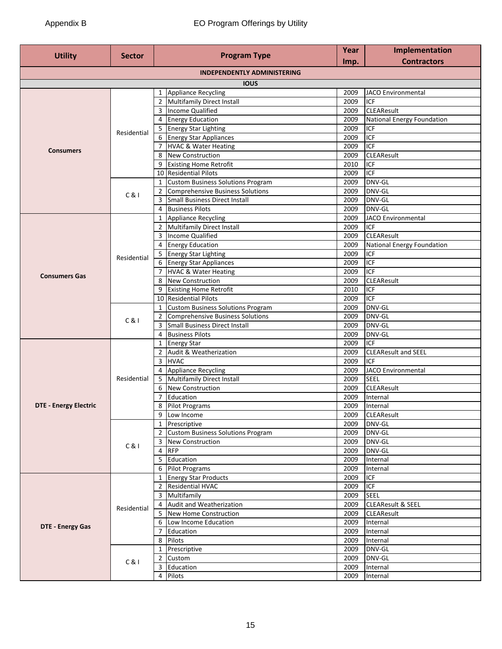| <b>Program Type</b><br><b>Utility</b><br><b>Sector</b> |             | Year | Implementation                      |              |                                   |
|--------------------------------------------------------|-------------|------|-------------------------------------|--------------|-----------------------------------|
|                                                        |             |      |                                     | Imp.         | <b>Contractors</b>                |
|                                                        |             |      | <b>INDEPENDENTLY ADMINISTERING</b>  |              |                                   |
|                                                        |             |      | <b>IOUS</b>                         |              |                                   |
|                                                        |             |      | 1 Appliance Recycling               | 2009         | <b>JACO Environmental</b>         |
|                                                        |             |      | 2 Multifamily Direct Install        | 2009         | <b>ICF</b>                        |
|                                                        |             |      | 3 Income Qualified                  | 2009         | <b>CLEAResult</b>                 |
|                                                        | Residential |      | 4 Energy Education                  | 2009         | <b>National Energy Foundation</b> |
|                                                        |             |      | 5 Energy Star Lighting              | 2009         | ICF                               |
|                                                        |             |      | 6 Energy Star Appliances            | 2009         | <b>ICF</b>                        |
| <b>Consumers</b>                                       |             |      | 7 HVAC & Water Heating              | 2009         | <b>ICF</b>                        |
|                                                        |             |      | 8 New Construction                  | 2009         | <b>CLEAResult</b>                 |
|                                                        |             |      | 9 Existing Home Retrofit            | 2010         | ICF                               |
|                                                        |             |      | 10 Residential Pilots               | 2009         | <b>ICF</b>                        |
|                                                        |             |      | 1 Custom Business Solutions Program | 2009         | DNV-GL                            |
|                                                        | C&1         |      | 2 Comprehensive Business Solutions  | 2009         | DNV-GL                            |
|                                                        |             |      | 3 Small Business Direct Install     | 2009         | DNV-GL                            |
|                                                        |             |      | 4 Business Pilots                   | 2009         | DNV-GL                            |
|                                                        |             |      | 1 Appliance Recycling               | 2009         | <b>JACO Environmental</b>         |
|                                                        |             |      | 2 Multifamily Direct Install        | 2009         | <b>ICF</b>                        |
|                                                        |             |      | 3 Income Qualified                  | 2009         | <b>CLEAResult</b>                 |
|                                                        |             |      | 4 Energy Education                  | 2009         | <b>National Energy Foundation</b> |
|                                                        | Residential |      | 5 Energy Star Lighting              | 2009         | ICF                               |
|                                                        |             |      | 6 Energy Star Appliances            | 2009         | <b>ICF</b>                        |
| <b>Consumers Gas</b>                                   |             |      | 7 HVAC & Water Heating              | 2009         | <b>ICF</b>                        |
|                                                        |             |      | 8 New Construction                  | 2009         | <b>CLEAResult</b>                 |
|                                                        |             | 9    | <b>Existing Home Retrofit</b>       | 2010         | <b>ICF</b>                        |
|                                                        |             |      | 10 Residential Pilots               | 2009         | <b>ICF</b>                        |
|                                                        |             |      | 1 Custom Business Solutions Program | 2009         | DNV-GL                            |
|                                                        | C &         |      | 2 Comprehensive Business Solutions  | 2009         | DNV-GL                            |
|                                                        |             |      | 3 Small Business Direct Install     | 2009         | DNV-GL                            |
|                                                        |             |      | 4 Business Pilots                   | 2009         | DNV-GL<br><b>ICF</b>              |
|                                                        |             |      | 1 Energy Star                       | 2009<br>2009 |                                   |
|                                                        | Residential |      | 2 Audit & Weatherization<br>3 HVAC  | 2009         | <b>CLEAResult and SEEL</b><br>ICF |
|                                                        |             |      | 4 Appliance Recycling               | 2009         | <b>JACO Environmental</b>         |
|                                                        |             |      | 5 Multifamily Direct Install        | 2009         | <b>SEEL</b>                       |
|                                                        |             |      | 6 New Construction                  | 2009         | <b>CLEAResult</b>                 |
|                                                        |             |      | 7 Education                         | 2009         | Internal                          |
| <b>DTE - Energy Electric</b>                           |             |      | 8 Pilot Programs                    | 2009         | Internal                          |
|                                                        |             |      | 9 Low Income                        | 2009         | <b>CLEAResult</b>                 |
|                                                        |             |      | 1 Prescriptive                      | 2009         | DNV-GL                            |
|                                                        |             |      | 2 Custom Business Solutions Program | 2009         | DNV-GL                            |
|                                                        |             |      | 3 New Construction                  | 2009         | DNV-GL                            |
|                                                        | C & 1       |      | 4 RFP                               | 2009         | DNV-GL                            |
|                                                        |             |      | 5 Education                         | 2009         | Internal                          |
|                                                        |             |      | 6 Pilot Programs                    | 2009         | Internal                          |
|                                                        |             |      | 1 Energy Star Products              | 2009         | <b>ICF</b>                        |
|                                                        |             |      | 2 Residential HVAC                  | 2009         | <b>ICF</b>                        |
|                                                        |             |      | 3 Multifamily                       | 2009         | <b>SEEL</b>                       |
|                                                        |             |      | 4 Audit and Weatherization          | 2009         | <b>CLEAResult &amp; SEEL</b>      |
|                                                        | Residential |      | 5 New Home Construction             | 2009         | <b>CLEAResult</b>                 |
|                                                        |             |      | 6 Low Income Education              | 2009         | Internal                          |
| <b>DTE - Energy Gas</b>                                |             |      | 7 Education                         | 2009         | Internal                          |
|                                                        |             |      | $\overline{8}$ Pilots               | 2009         | Internal                          |
|                                                        |             |      | 1 Prescriptive                      | 2009         | DNV-GL                            |
|                                                        |             |      | 2 Custom                            | 2009         | DNV-GL                            |
|                                                        | C &         |      | 3 Education                         | 2009         | Internal                          |
|                                                        |             |      | 4 Pilots                            | 2009         | Internal                          |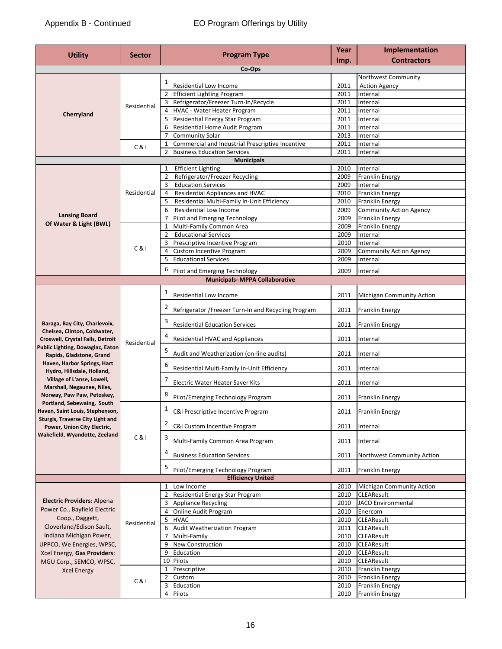| <b>Utility</b>                                                      |               |                         |                                                                   | Year         | Implementation                             |
|---------------------------------------------------------------------|---------------|-------------------------|-------------------------------------------------------------------|--------------|--------------------------------------------|
|                                                                     | <b>Sector</b> |                         | <b>Program Type</b>                                               | Imp.         | <b>Contractors</b>                         |
|                                                                     |               |                         | Co-Ops                                                            |              |                                            |
|                                                                     |               | $\mathbf{1}$            |                                                                   |              | Northwest Community                        |
|                                                                     |               |                         | Residential Low Income                                            | 2011         | <b>Action Agency</b>                       |
|                                                                     |               | $\overline{2}$          | <b>Efficient Lighting Program</b>                                 | 2011         | Internal                                   |
|                                                                     | Residential   | 3                       | Refrigerator/Freezer Turn-In/Recycle                              | 2011         | Internal                                   |
| Cherryland                                                          |               | 4                       | <b>HVAC - Water Heater Program</b>                                | 2011         | Internal                                   |
|                                                                     |               | 5<br>6                  | Residential Energy Star Program<br>Residential Home Audit Program | 2011<br>2011 | Internal<br>Internal                       |
|                                                                     |               | $\overline{7}$          | <b>Community Solar</b>                                            | 2013         | Internal                                   |
|                                                                     |               | $\mathbf{1}$            | Commercial and Industrial Prescriptive Incentive                  | 2011         | Internal                                   |
|                                                                     | C&1           | $\overline{2}$          | <b>Business Education Services</b>                                | 2011         | Internal                                   |
|                                                                     |               |                         | <b>Municipals</b>                                                 |              |                                            |
|                                                                     |               | 1                       | <b>Efficient Lighting</b>                                         | 2010         | Internal                                   |
|                                                                     |               | $\overline{2}$          | Refrigerator/Freezer Recycling                                    | 2009         | Franklin Energy                            |
|                                                                     |               | 3                       | <b>Education Services</b>                                         | 2009         | Internal                                   |
|                                                                     | Residential   | 4                       | Residential Appliances and HVAC                                   | 2010         | <b>Franklin Energy</b>                     |
|                                                                     |               | 5                       | Residential Multi-Family In-Unit Efficiency                       | 2010         | <b>Franklin Energy</b>                     |
| <b>Lansing Board</b>                                                |               | 6                       | Residential Low Income                                            | 2009         | <b>Community Action Agency</b>             |
| Of Water & Light (BWL)                                              |               | $\overline{7}$          | Pilot and Emerging Technology                                     | 2009         | <b>Franklin Energy</b>                     |
|                                                                     |               | 1                       | Multi-Family Common Area                                          | 2009         | Franklin Energy                            |
|                                                                     |               | $\overline{2}$          | <b>Educational Services</b>                                       | 2009         | Internal                                   |
|                                                                     | C &           | 4                       | Prescriptive Incentive Program<br>Custom Incentive Program        | 2010<br>2009 | Internal<br><b>Community Action Agency</b> |
|                                                                     |               | 5                       | <b>Educational Services</b>                                       | 2009         | Internal                                   |
|                                                                     |               |                         |                                                                   |              |                                            |
|                                                                     |               | 6                       | Pilot and Emerging Technology                                     | 2009         | Internal                                   |
|                                                                     |               |                         | <b>Municipals- MPPA Collaborative</b>                             |              |                                            |
|                                                                     |               | $\mathbf{1}$            | Residential Low Income                                            | 2011         | <b>Michigan Community Action</b>           |
|                                                                     |               | $\overline{\mathbf{c}}$ | Refrigerator / Freezer Turn-In and Recycling Program              | 2011         | <b>Franklin Energy</b>                     |
| Baraga, Bay City, Charlevoix,<br>Chelsea, Clinton, Coldwater,       |               | 3                       | <b>Residential Education Services</b>                             | 2011         | <b>Franklin Energy</b>                     |
| Croswell, Crystal Falls, Detroit                                    | Residential   |                         | Residential HVAC and Appliances                                   | 2011         | Internal                                   |
| Public Lighting, Dowagiac, Eaton<br>Rapids, Gladstone, Grand        |               | 5                       | Audit and Weatherization (on-line audits)                         | 2011         | Internal                                   |
| Haven, Harbor Springs, Hart<br>Hydro, Hillsdale, Holland,           |               | 6                       | Residential Multi-Family In-Unit Efficiency                       | 2011         | Internal                                   |
| Village of L'anse, Lowell,<br>Marshall, Negaunee, Niles,            |               | $\overline{7}$          | Electric Water Heater Saver Kits                                  | 2011         | Internal                                   |
| Norway, Paw Paw, Petoskey,<br>Portland, Sebewaing, South            |               | 8                       | Pilot/Emerging Technology Program                                 | 2011         | <b>Franklin Energy</b>                     |
| Haven, Saint Louis, Stephenson,<br>Sturgis, Traverse City Light and |               | $\mathbf{1}$            | C&I Prescriptive Incentive Program                                |              | 2011 Franklin Energy                       |
| Power, Union City Electric,<br>Wakefield, Wyandotte, Zeeland        |               | $\overline{2}$          | C&I Custom Incentive Program                                      | 2011         | Internal                                   |
|                                                                     | C &           | 3                       | Multi-Family Common Area Program                                  | 2011         | Internal                                   |
|                                                                     |               |                         | <b>Business Education Services</b>                                | 2011         | Northwest Community Action                 |
|                                                                     |               | 5                       | Pilot/Emerging Technology Program                                 | 2011         | <b>Franklin Energy</b>                     |
|                                                                     |               |                         | <b>Efficiency United</b>                                          |              |                                            |
|                                                                     |               |                         | 1 Low Income                                                      | 2010         | Michigan Community Action                  |
| <b>Electric Providers: Alpena</b>                                   |               | $\overline{2}$          | Residential Energy Star Program                                   | 2010         | <b>CLEAResult</b>                          |
| Power Co., Bayfield Electric                                        |               | 4                       | 3 Appliance Recycling<br><b>Online Audit Program</b>              | 2010<br>2010 | <b>JACO</b> Environmental                  |
| Coop., Daggett,                                                     |               | 5                       | <b>HVAC</b>                                                       | 2010         | Enercom<br><b>CLEAResult</b>               |
| Cloverland/Edison Sault,                                            | Residential   | 6                       | Audit Weatherization Program                                      | 2011         | <b>CLEAResult</b>                          |
| Indiana Michigan Power,                                             |               | 7                       | Multi-Family                                                      | 2010         | <b>CLEAResult</b>                          |
| UPPCO, We Energies, WPSC,                                           |               |                         | 9 New Construction                                                | 2010         | <b>CLEAResult</b>                          |
| Xcel Energy, Gas Providers:                                         |               | 9                       | Education                                                         | 2010         | <b>CLEAResult</b>                          |
| MGU Corp., SEMCO, WPSC,                                             |               |                         | 10 Pilots                                                         | 2010         | <b>CLEAResult</b>                          |
| <b>Xcel Energy</b>                                                  |               |                         | 1 Prescriptive                                                    | 2010         | <b>Franklin Energy</b>                     |
|                                                                     | C&1           | $\overline{2}$          | Custom                                                            | 2010         | Franklin Energy                            |
|                                                                     |               | 3                       | Education                                                         | 2010         | <b>Franklin Energy</b>                     |
|                                                                     |               |                         | 4 Pilots                                                          | 2010         | Franklin Energy                            |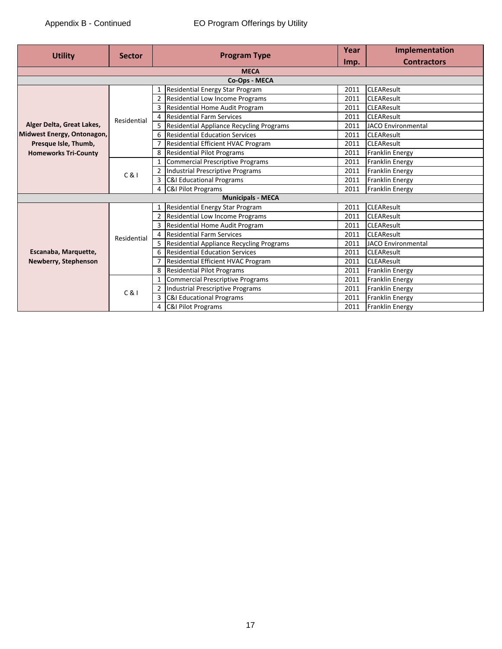| <b>Utility</b>              | <b>Sector</b> |    | <b>Program Type</b>                       | Year<br>Imp. | Implementation<br><b>Contractors</b> |
|-----------------------------|---------------|----|-------------------------------------------|--------------|--------------------------------------|
|                             |               |    | <b>MECA</b>                               |              |                                      |
|                             |               |    |                                           |              |                                      |
|                             |               |    | Residential Energy Star Program           | 2011         | <b>CLEAResult</b>                    |
|                             |               |    | Residential Low Income Programs           | 2011         | <b>CLEAResult</b>                    |
|                             |               |    | Residential Home Audit Program            | 2011         | <b>CLEAResult</b>                    |
|                             | Residential   |    | <b>Residential Farm Services</b>          | 2011         | <b>CLEAResult</b>                    |
| Alger Delta, Great Lakes,   |               |    | Residential Appliance Recycling Programs  | 2011         | <b>JACO Environmental</b>            |
| Midwest Energy, Ontonagon,  |               | 6  | <b>Residential Education Services</b>     | 2011         | <b>CLEAResult</b>                    |
| Presque Isle, Thumb,        |               |    | Residential Efficient HVAC Program        | 2011         | <b>CLEAResult</b>                    |
| <b>Homeworks Tri-County</b> |               | 8  | <b>Residential Pilot Programs</b>         | 2011         | <b>Franklin Energy</b>               |
|                             | $C_8$         |    | <b>Commercial Prescriptive Programs</b>   | 2011         | <b>Franklin Energy</b>               |
|                             |               |    | <b>Industrial Prescriptive Programs</b>   | 2011         | Franklin Energy                      |
|                             |               |    | C&I Educational Programs                  | 2011         | <b>Franklin Energy</b>               |
|                             |               |    | C&I Pilot Programs                        | 2011         | <b>Franklin Energy</b>               |
|                             |               |    | <b>Municipals - MECA</b>                  |              |                                      |
|                             |               |    | Residential Energy Star Program           | 2011         | <b>CLEAResult</b>                    |
|                             |               |    | <b>Residential Low Income Programs</b>    | 2011         | <b>CLEAResult</b>                    |
|                             |               |    | <b>Residential Home Audit Program</b>     | 2011         | <b>CLEAResult</b>                    |
|                             | Residential   |    | <b>Residential Farm Services</b>          | 2011         | <b>CLEAResult</b>                    |
|                             |               | 5. | Residential Appliance Recycling Programs  | 2011         | <b>JACO Environmental</b>            |
| Escanaba, Marquette,        |               |    | <b>Residential Education Services</b>     | 2011         | <b>CLEAResult</b>                    |
| Newberry, Stephenson        |               |    | <b>Residential Efficient HVAC Program</b> | 2011         | <b>CLEAResult</b>                    |
|                             |               |    | <b>Residential Pilot Programs</b>         | 2011         | <b>Franklin Energy</b>               |
|                             |               |    | Commercial Prescriptive Programs          | 2011         | <b>Franklin Energy</b>               |
|                             | $C_8$         |    | <b>Industrial Prescriptive Programs</b>   | 2011         | <b>Franklin Energy</b>               |
|                             |               |    | <b>C&amp;I Educational Programs</b>       | 2011         | <b>Franklin Energy</b>               |
|                             |               |    | <b>C&amp;I Pilot Programs</b>             | 2011         | <b>Franklin Energy</b>               |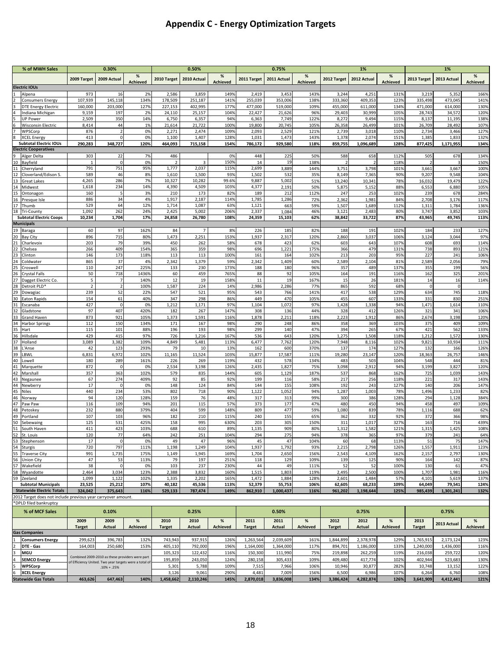## **Appendix C - Energy Optimization Targets**

|          | % of MWH Sales                                               |                       | 0.30%              |                 |                       | 0.50%           |              |                 | 0.75%           |                 |                 | 1%              |                 | 1%              |                 |                 |
|----------|--------------------------------------------------------------|-----------------------|--------------------|-----------------|-----------------------|-----------------|--------------|-----------------|-----------------|-----------------|-----------------|-----------------|-----------------|-----------------|-----------------|-----------------|
|          |                                                              | 2009 Target           | 2009 Actual        | %               | 2010 Target           | 2010 Actual     | %            | 2011 Target     | 2011 Actual     | %               | 2012 Target     | 2012 Actual     | $\%$            | 2013 Target     | 2013 Actual     | %               |
|          | <b>Electric IOUs</b>                                         |                       |                    | <b>Achieved</b> |                       |                 | Achieved     |                 |                 | <b>Achieved</b> |                 |                 | <b>Achieved</b> |                 |                 | <b>Achieved</b> |
|          | Alpena                                                       | 973                   | 16                 | 2%              | 2,586                 | 3,859           | 149%         | 2,419           | 3,453           | 143%            | 3,244           | 4,251           | 131%            | 3,219           | 5,352           | 166%            |
|          | <b>Consumers Energy</b>                                      | 107,939               | 145,118            | 134%            | 178,509               | 251,187         | 141%         | 255,039         | 353,006         | 1389            | 333,360         | 409,353         | 123%            | 335,498         | 473,045         | 141%            |
|          | <b>DTE Energy Electric</b>                                   | 160,000               | 203,000            | 127%            | 227,153               | 402,995         | 177%         | 477,000         | 519,000         | 109%            | 455,000         | 611,000         | 134%            | 471,000         | 614,000         | 130%            |
|          | Indiana Michigan                                             | 9,159                 | 197                | 2%              | 24,110                | 25,157          | 104%         | 22,427          | 21,626          | 96%             | 29,403          | 30,999          | 105%            | 28,743          | 34,572          | 120%            |
|          | <b>UP Power</b>                                              | 2,509                 | 350                | 14%             | 6,750                 | 6,357           | 94%          | 6,363           | 7,749           | 122%            | 8,272           | 9,494           | 115%            | 8,137           | 11,195          | 138%            |
|          | <b>Wisconsin Electric</b>                                    | 8,414                 | 44                 | 1%              | 21,614                | 21,722          | 100%         | 19,800          | 20,745          | 105%            | 26,358          | 26,499          | 101%            | 26,709          | 28,492          | 107%            |
|          | WPSCorp                                                      | 876                   | $\overline{2}$     | 0%              | 2,271                 | 2,474           | 109%         | 2,093           | 2,529           | 121%            | 2,739           | 3,018           | 110%            | 2,734           | 3,466           | 127%            |
|          | <b>XCEL Energy</b>                                           | 413                   | $\Omega$           | 0%              | 1,100                 | 1,407           | 128%         | 1,031           | 1,473           | 143%            | 1,378           | 2,074           | 151%            | 1,385           | 1,833           | 132%            |
|          | <b>Subtotal Electric IOUs</b>                                | 290,283               | 348,727            | 120%            | 464,093               | 715,158         | 154%         | 786,172         | 929,580         | 118%            | 859,755         | 1,096,689       | 128%            | 877,425         | 1,171,955       | 134%            |
|          | <b>Electric Cooperatives</b>                                 |                       |                    |                 |                       |                 |              |                 |                 |                 |                 |                 |                 |                 |                 |                 |
| 10       | Alger Delta<br>Bayfield                                      | 303<br>$\overline{1}$ | 22<br>$\mathsf{C}$ | 7%<br>0%        | 486<br>$\overline{2}$ | 3               | 0%<br>150%   | 448<br>14       | 225<br>19       | 50%<br>138%     | 588             | 658             | 112%<br>118%    | 505             | 678             | 134%<br>150%    |
| 11       | Cherryland                                                   | 791                   | 751                | 95%             | 1,777                 | 2,037           | 115%         | 2,699           | 3,889           | 144%            | 3,751           | 3,798           | 101%            | 3,661           | 3,667           | 100%            |
| 12       | Cloverland/Edison S.                                         | 589                   | 46                 | 8%              | 1,610                 | 1,500           | 93%          | 1,502           | 532             | 35%             | 8,149           | 7,365           | 90%             | 9,207           | 9,548           | 104%            |
| 13       | <b>Great Lakes</b>                                           | 4,265                 | 286                | 7%              | 10,327                | 10,282          | 99.6%        | 9,887           | 5,002           | 51%             | 13,240          | 10,341          | 78%             | 16,032          | 19,479          | 122%            |
| 14       | Midwest                                                      | 1,618                 | 234                | 14%             | 4,390                 | 4,509           | 103%         | 4,377           | 2,191           | 50%             | 5,875           | 5,152           | 88%             | 6,553           | 6,880           | 105%            |
| 15       | Ontonagon                                                    | 160                   |                    | 3%              | 210                   | 173             | 82%          | 189             | 212             | 112%            | 247             | 253             | 102%            | 239             | 678             | 284%            |
| 16       | Presque Isle                                                 | 886                   | 34                 | 4%              | 1,917                 | 2,187           | 114%         | 1,785           | 1,286           | 72%             | 2,362           | 1,981           | 84%             | 2,708           | 3,176           | 117%            |
| 17       | Thumb                                                        | 529                   | 64                 | 12%             | 1,714                 | 1,087           | 63%          | 1,121           | 663             | 59%             | 1,507           | 1,689           | 112%            | 1,311           | 1,784           | 136%            |
| 18       | <b>Tri-County</b>                                            | 1,092                 | 262                | 24%             | 2,425                 | 5,002           | 206%         | 2,337           | 1,084           | 46%             | 3,121           | 2,483           | 80%             | 3,74            | 3,852           | 103%            |
|          | <b>Subtotal Electric Coops</b>                               | 10,234                | 1,704              | 17%             | 24,858                | 26,780          | 108%         | 24,359          | 15,103          | 62%             | 38,842          | 33,722          | 87%             | 43,965          | 49,745          | 113%            |
|          | <b>Municipals</b>                                            |                       |                    |                 |                       |                 |              |                 |                 |                 |                 |                 |                 |                 |                 |                 |
| 19       | Baraga                                                       | 60                    | 97                 | 162%            | 84                    | $\overline{7}$  | 8%           | 226             | 185             | 82%             | 188             | 191             | 102%            | 184             | 233             | 127%            |
| 20<br>21 | <b>Bay City</b><br>Charlevoix                                | 896<br>203            | 715<br>79          | 80%<br>39%      | 1,473<br>450          | 2,251<br>262    | 153%<br>58%  | 1,937<br>678    | 2,317<br>423    | 120%<br>62%     | 2,860<br>603    | 3,037<br>643    | 106%<br>107%    | 3,124<br>608    | 3,044<br>693    | 97%<br>114%     |
| 22       | Chelsea                                                      | 266                   | 409                | 154%            | 365                   | 359             | 98%          | 696             | 1,221           | 175%            | 366             | 479             | 131%            | 738             | 893             | 121%            |
| 23       | Clinton                                                      | 146                   | 173                | 118%            | 113                   | 113             | 100%         | 161             | 164             | 102%            | 213             | 203             | 95%             | 227             | 241             | 106%            |
| 24       | Coldwater                                                    | 865                   | 37                 | 4%              | 2,342                 | 1,379           | 59%          | 2,342           | 1,409           | 60%             | 2,589           | 2,104           | 81%             | 2,589           | 2,056           | 79%             |
| 25       | Croswell                                                     | 110                   | 247                | 225%            | 133                   | 230             | 173%         | 188             | 180             | 96%             | 357             | 489             | 137%            | 355             | 199             | 56%             |
| 26       | <b>Crystal Falls</b>                                         | 50                    | 718                | 1436%           | 60                    | 459             | 765%         | 88              | 92              | 105%            | 164             | 191             | 116%            | 162             | 325             | 201%            |
| 27       | Dagget Electric Co.                                          | 5                     | $\overline{7}$     | 140%            | 12                    | 19              | 158%         | 11              | 19              | 167%            | 15              | 26              | 181%            | 14              | 16              | 114%            |
| 28       | Detroit PLD*                                                 | $\overline{2}$        | $\overline{2}$     | 100%            | 1,587                 | 224             | 14%          | 2,986           | 2,286           | 77%             | 865             | 592             | 68%             |                 | $\mathbf 0$     |                 |
| 29       | Dowagiac                                                     | 239                   | 52                 | 22%             | 547                   | 521             | 95%          | 543             | 766             | 141%            | 417             | 538             | 129%            | 634             | 745             | 118%            |
| 30       | <b>Eaton Rapids</b>                                          | 154                   | 61                 | 40%             | 347                   | 298             | 86%          | 449             | 470             | 105%            | 455             | 607             | 133%            | 331             | 830             | 251%            |
| 31       | Escanaba                                                     | 427                   | $\mathfrak{c}$     | 0%              | 1,212                 | 1,171           | 97%          | 1,104           | 1,072           | 97%             | 1,428           | 1,338           | 94%             | 1,471           | 1,614           | 110%            |
| 32       | Gladstone                                                    | 97                    | 407                | 420%            | 182                   | 267             | 147%         | 308             | 136             | 44%             | 328             | 412             | 126%            | 321             | 341             | 106%            |
| 33<br>34 | Grand Haven                                                  | 873<br>112            | 921<br>150         | 105%<br>134%    | 1,373<br>171          | 1,591<br>167    | 116%<br>98%  | 1,878           | 2,211<br>248    | 118%<br>86%     | 2,223<br>358    | 1,912<br>369    | 86%<br>103%     | 2,674<br>375    | 3,198<br>409    | 120%<br>109%    |
| 35       | <b>Harbor Springs</b><br>Hart                                | 115                   | 101                | 88%             | 196                   | 193             | 98%          | 290<br>299      | 140             | 47%             | 394             | 265             | 67%             | 421             | 562             | 133%            |
| 36       | Hillsdale                                                    | 429                   | 415                | 97%             | 726                   | 1,216           | 167%         | 536             | 643             | 120%            | 1,275           | 1,508           | 118%            | 1,212           | 1,572           | 130%            |
| 37       | Holland                                                      | 3,089                 | 3,382              | 109%            | 4,849                 | 5,481           | 113%         | 6,477           | 7,762           | 120%            | 7,948           | 8,116           | 102%            | 9,821           | 10,934          | 111%            |
| 38       | L'Anse                                                       | 42                    | 123                | 293%            | 79                    | 10              | 13%          | 162             | 600             | 370%            | 137             | 174             | 127%            | 132             | 166             | 126%            |
| 39       | LBWL                                                         | 6,831                 | 6,972              | 102%            | 11,165                | 11,524          | 103%         | 15,877          | 17,587          | 111%            | 19,280          | 23,147          | 120%            | 18,363          | 26,757          | 146%            |
| 40       | Lowell                                                       | 180                   | 289                | 161%            | 226                   | 269             | 119%         | 432             | 578             | 134%            | 483             | 503             | 104%            | 548             | 444             | 81%             |
| 41       | Marquette                                                    | 872                   |                    | 0%              | 2,534                 | 3,198           | 126%         | 2,435           | 1,827           | 75%             | 3,098           | 2,912           | 94%             | 3,199           | 3,827           | 120%            |
| 42       | Marshall                                                     | 357                   | 363                | 102%            | 579                   | 835             | 144%         | 605             | 1,129           | 187%            | 537             | 868             | 162%            | 725             | 1,039           | 143%            |
| 43       | Negaunee                                                     | 67                    | 274                | 409%            | 92                    | 85              | 92%          | 199             | 116             | 58%             | 217             | 256             | 118%            | 221             | 317             | 143%            |
| 44       | Newberry                                                     | 17                    | $\mathcal{C}$      | 0%              | 148                   | 124             | 84%          | 144             | 155             | 108%            | 192             | 243             | 127%            | 140             | 206             | 147%            |
| 45       | <b>Niles</b>                                                 | 440                   | 234                | 53%<br>128%     | 802<br>159            | 718             | 90%          | 1,122           | 1,052           | 94%<br>99%      | 1,287           | 1,003           | 78%             | 1,496           | 1,233<br>1,128  | 82%<br>384%     |
| 46<br>47 | Norway<br>Paw Paw                                            | 94<br>116             | 120<br>109         | 94%             | 201                   | 76<br>115       | 48%<br>57%   | 317<br>373      | 313<br>177      | 47%             | 300<br>480      | 386<br>450      | 128%<br>94%     | 294<br>458      | 497             | 109%            |
| 48       | Petoskey                                                     | 232                   | 880                | 379%            | 404                   | 599             | 148%         | 809             | 477             | 59%             | 1,080           | 839             | 78%             | 1,116           | 688             | 62%             |
| 49       | Portland                                                     | 107                   | 103                | 96%             | 182                   | 210             | 115%         | 240             | 155             | 65%             | 362             | 332             | 92%             | 372             | 366             | 98%             |
| 50       | Sebewaing                                                    | 125                   | 531                | 425%            | 158                   | 995             | 630%         | 203             | 305             | 150%            | 311             | 1,017           | 327%            | 163             | 716             | 439%            |
| 51       | South Haven                                                  | 411                   | 423                | 103%            | 688                   | 610             | 89%          | 1,135           | 909             | 80%             | 1,312           | 1,582           | 121%            | 1,315           | 1,425           | 108%            |
| 52       | St. Louis                                                    | 120                   | 77                 | 64%             | 242                   | 251             | 104%         | 294             | 275             | 94%             | 378             | 365             | 97%             | 379             | 241             | 64%             |
| 53       | Stephenson                                                   | 17                    | $\mathbf 0$        | 0%              | 49                    | 47              | 96%          | 45              | 47              | 104%            | 60              | 68              | 113%            | 51              | 75              | 147%            |
| 54       | <b>Sturgis</b>                                               | 720                   | 797                | 111%            | 1,198                 | 1,249           | 104%         | 1,937           | 1,792           | 93%             | 2,215           | 2,798           | 126%            | 1,557           | 1,911           | 123%            |
| 55       | <b>Traverse City</b>                                         | 991                   | 1,735              | 175%            | 1,149                 | 1,945           | 169%         | 1,704           | 2,650           | 156%            | 2,543           | 4,109           | 162%            | 2,157           | 2,797           | 130%            |
| 56       | <b>Union City</b>                                            | 47                    | 53                 | 113%            | 79                    | 197             | 251%         | 118             | 129             | 109%            | 139             | 125             | 90%             | 164             | 142             | 87%             |
| 57       | Wakefield                                                    | 38                    | $\Omega$           | 0%              | 103                   | 237             | 230%         | 44              | 49              | 111%            | 52              | 52              | 100%            | 130             | 61              | 47%             |
| 58       | Wyandotte<br>59 Zeeland                                      | 2,464                 | 3,034              | 123%            | 2,388                 | 3,832           | 160%<br>165% | 1,515           | 1,803           | 119%<br>128%    | 2,495           | 2,500           | 100%<br>57%     | 1,707           | 1,981           | 116%<br>137%    |
|          | <b>Subtotal Municipals</b>                                   | 1,099<br>23,525       | 1,122<br>25,212    | 102%<br>107%    | 1,335<br>40,182       | 2,202<br>45,536 | 113%         | 1,472<br>52,379 | 1,884<br>55,753 | 106%            | 2,601<br>62,605 | 1,484<br>68,233 | 109%            | 4,101<br>64,049 | 5,619<br>79,541 | 124%            |
|          | <b>Statewide Electric Totals</b>                             | 324,042               | 375,643            | 116%            | 529,133               | 787,474         | 149%         | 862,910         | 1,000,437       | 116%            | 961,202         | 1,198,644       | 125%            | 985,439         | 1,301,241       | 132%            |
|          | 2012 Target does not include previous year carryover amount. |                       |                    |                 |                       |                 |              |                 |                 |                 |                 |                 |                 |                 |                 |                 |
|          | *DPLD filed bankruptcy                                       |                       |                    |                 |                       |                 |              |                 |                 |                 |                 |                 |                 |                 |                 |                 |

|   | % of MCF Sales<br>0.10%     |                                                                         |         |                                                 | 0.25%         |           |                 | 0.50%     |           |                 | 0.75%         |           |          | 0.75%         |             |          |
|---|-----------------------------|-------------------------------------------------------------------------|---------|-------------------------------------------------|---------------|-----------|-----------------|-----------|-----------|-----------------|---------------|-----------|----------|---------------|-------------|----------|
|   | 2009                        |                                                                         | 2009    |                                                 | 2010          | 2010      | %               | 2011      | 2011      | %               | 2012          | 2012      | %        | 2013          | 2013 Actual |          |
|   |                             | <b>Target</b>                                                           | Actual  | Achieved                                        | <b>Target</b> | Actual    | <b>Achieved</b> | Target    | Actual    | <b>Achieved</b> | <b>Target</b> | Actual    | Achieved | <b>Target</b> |             | Achieved |
|   | <b>Gas Companies</b>        |                                                                         |         |                                                 |               |           |                 |           |           |                 |               |           |          |               |             |          |
|   | <b>Consumers Energy</b>     | 299,623                                                                 | 396.783 | 132%                                            | 743,943       | 937,915   | 126%            | 1,263,564 | 2,039,609 | 161%            | 1,844,899     | 2,378,978 | 129%     | 1,765,915     | 2,173,124   | 123%     |
|   | DTE - Gas                   | 164,003                                                                 | 250,680 | 153%                                            | 405,110       | 792,000   | 196%            | 1,164,000 | 1,364,000 | 117%            | 894,701       | ,186,000  | 133%     | 1,240,000     | 1,436,000   | 116%     |
|   | <b>MGU</b>                  |                                                                         |         |                                                 | 105,323       | 122,432   | 116%            | 150,300   | 111,990   | 75%             | 219,898       | 262,259   | 119%     | 216,038       | 259,722     | 120%     |
| 4 | <b>SEMCO Energy</b>         |                                                                         |         | Combined 2009-2010 as these providers were part | 195,859       | 243,050   | 124%            | 280,158   | 305,433   | 109%            | 409,480       | 417.774   | 102%     | 402.944       | 523,683     | 130%     |
|   | <b>WPSCorp</b>              | of Efficiency United. Two year targets were a total of<br>$.10% + .25%$ |         |                                                 | 5,301         | 5,788     | 109%            | 7,515     | 7,966     | 106%            | 10,946        | 30,877    | 282%     | 10,748        | 13,152      | 122%     |
| 6 | <b>XCEL Energy</b>          |                                                                         |         |                                                 | 3,126         | 9,061     | 290%            | 4,481     | 7,009     | 156%            | 6,500         | 6,986     | 107%     | 6,264         | 6,760       | 108%     |
|   | <b>Statewide Gas Totals</b> | 463,626                                                                 | 647.463 | 140%                                            | 1,458,662     | 2.110.246 | 145%            | 2.870.018 | 3,836,008 | 134%            | 3.386.424     | 4,282,874 | 126%     | 3,641,909     | 4.412.441   | 121%     |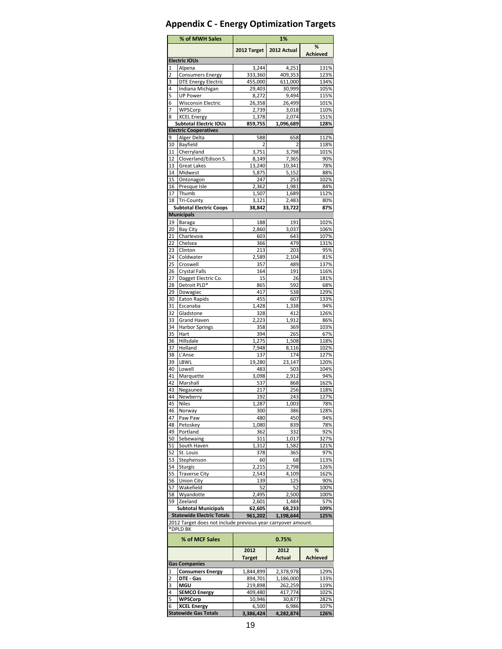## **Appendix C - Energy Optimization Targets**

|          | % of MWH Sales                                                | 1%                 |                    |              |  |  |  |  |
|----------|---------------------------------------------------------------|--------------------|--------------------|--------------|--|--|--|--|
|          |                                                               | 2012 Target        | 2012 Actual        | %            |  |  |  |  |
|          | <b>Electric IOUs</b>                                          |                    |                    | Achieved     |  |  |  |  |
| 1        | Alpena                                                        | 3,244              | 4,251              | 131%         |  |  |  |  |
| 2        | <b>Consumers Energy</b>                                       | 333,360            | 409,353            | 123%         |  |  |  |  |
| 3        | <b>DTE Energy Electric</b>                                    | 455.000            | 611,000            | 134%         |  |  |  |  |
| 4        | Indiana Michigan                                              | 29,403             | 30,999             | 105%         |  |  |  |  |
| 5        | <b>UP Power</b>                                               | 8,272              | 9,494              | 115%         |  |  |  |  |
| 6        | Wisconsin Electric                                            | 26,358             | 26,499             | 101%         |  |  |  |  |
| 7        | WPSCorp                                                       | 2,739              | 3,018              | 110%         |  |  |  |  |
| 8        | <b>XCEL Energy</b>                                            | 1,378              | 2,074              | 151%         |  |  |  |  |
|          | <b>Subtotal Electric IOUs</b><br><b>Electric Cooperatives</b> | 859,755            | 1,096,689          | 128%         |  |  |  |  |
| 9        | Alger Delta                                                   | 588                | 658                | 112%         |  |  |  |  |
|          | 10 Bayfield                                                   | 2                  | 2                  | 118%         |  |  |  |  |
|          | 11 Cherryland                                                 | 3,751              | 3,798              | 101%         |  |  |  |  |
| 12       | Cloverland/Edison S.                                          | 8,149              | 7,365              | 90%          |  |  |  |  |
| 13       | <b>Great Lakes</b>                                            | 13,240             | 10,341             | 78%          |  |  |  |  |
| 14       | Midwest                                                       | 5,875              | 5,152              | 88%          |  |  |  |  |
| 15       | Ontonagon                                                     | 247                | 253                | 102%         |  |  |  |  |
| 16       | Presque Isle                                                  | 2,362              | 1,981              | 84%          |  |  |  |  |
| 17       | Thumb                                                         | 1,507              | 1,689              | 112%         |  |  |  |  |
|          | 18 Tri-County                                                 | 3,121              | 2,483              | 80%          |  |  |  |  |
|          | <b>Subtotal Electric Coops</b>                                | 38,842             | 33,722             | 87%          |  |  |  |  |
|          | <b>Municipals</b>                                             |                    |                    |              |  |  |  |  |
| 19       | Baraga                                                        | 188                | 191                | 102%         |  |  |  |  |
| 20       | Bay City                                                      | 2,860              | 3,037              | 106%         |  |  |  |  |
| 21       | Charlevoix                                                    | 603                | 643                | 107%         |  |  |  |  |
| 22       | Chelsea                                                       | 366                | 479                | 131%         |  |  |  |  |
| 23<br>24 | Clinton<br>Coldwater                                          | 213<br>2,589       | 203<br>2,104       | 95%<br>81%   |  |  |  |  |
| 25       | Croswell                                                      | 357                | 489                | 137%         |  |  |  |  |
| 26       | <b>Crystal Falls</b>                                          | 164                | 191                | 116%         |  |  |  |  |
| 27       | Dagget Electric Co.                                           | 15                 | 26                 | 181%         |  |  |  |  |
| 28       | Detroit PLD*                                                  | 865                | 592                | 68%          |  |  |  |  |
| 29       | Dowagiac                                                      | 417                | 538                | 129%         |  |  |  |  |
| 30       | <b>Eaton Rapids</b>                                           | 455                | 607                | 133%         |  |  |  |  |
| 31       | Escanaba                                                      | 1,428              | 1,338              | 94%          |  |  |  |  |
| 32       | Gladstone                                                     | 328                | 412                | 126%         |  |  |  |  |
| 33       | <b>Grand Haven</b>                                            | 2,223              | 1,912              | 86%          |  |  |  |  |
| 34       | <b>Harbor Springs</b>                                         | 358                | 369                | 103%         |  |  |  |  |
| 35       | Hart                                                          | 394                | 265                | 67%          |  |  |  |  |
| 36       | Hillsdale                                                     | 1,275              | 1,508              | 118%         |  |  |  |  |
| 37       | Holland                                                       | 7,948              | 8,116              | 102%         |  |  |  |  |
| 38       | L'Anse                                                        | 137                | 174                | 127%         |  |  |  |  |
| 39       | LBWL                                                          | 19,280             | 23,147             | 120%<br>104% |  |  |  |  |
| 40<br>41 | Lowell                                                        | 483<br>3,098       | 503<br>2,912       | 94%          |  |  |  |  |
| 42       | Marquette<br>Marshall                                         | 537                | 868                | 162%         |  |  |  |  |
| 43       | Negaunee                                                      | 217                | 256                | 118%         |  |  |  |  |
| 44       | Newberry                                                      | 192                | 243                | 127%         |  |  |  |  |
| 45       | Niles                                                         | 1,287              | 1,003              | 78%          |  |  |  |  |
| 46       | Norway                                                        | 300                | 386                | 128%         |  |  |  |  |
| 47       | Paw Paw                                                       | 480                | 450                | 94%          |  |  |  |  |
| 48       | Petoskey                                                      | 1,080              | 839                | 78%          |  |  |  |  |
| 49       | Portland                                                      | 362                | 332                | 92%          |  |  |  |  |
| 50       | Sebewaing                                                     | 311                | 1,017              | 327%         |  |  |  |  |
| 51       | South Haven                                                   | 1,312              | 1,582              | 121%         |  |  |  |  |
| 52       | St. Louis                                                     | 378                | 365                | 97%          |  |  |  |  |
| 53       | Stephenson                                                    | 60                 | 68                 | 113%         |  |  |  |  |
| 54       | Sturgis                                                       | 2,215              | 2,798              | 126%         |  |  |  |  |
| 55       | <b>Traverse City</b>                                          | 2,543              | 4,109              | 162%         |  |  |  |  |
| 56       | <b>Union City</b>                                             | 139                | 125                | 90%          |  |  |  |  |
| 57<br>58 | Wakefield<br>Wyandotte                                        | 52<br>2.495        | 52<br>2,500        | 100%<br>100% |  |  |  |  |
| 59       | Zeeland                                                       | 2,601              | 1,484              | 57%          |  |  |  |  |
|          | <b>Subtotal Municipals</b>                                    | 62,605             | 68,233             | 109%         |  |  |  |  |
|          | <b>Statewide Electric Totals</b>                              | 961,202            | 1,198,644          | 125%         |  |  |  |  |
|          | 2012 Target does not include previous year carryover amount.  |                    |                    |              |  |  |  |  |
|          | *DPLD BK<br>% of MCF Sales                                    |                    | 0.75%              |              |  |  |  |  |
|          |                                                               |                    |                    |              |  |  |  |  |
|          |                                                               | 2012               | 2012               | %            |  |  |  |  |
|          |                                                               | <b>Target</b>      | Actual             | Achieved     |  |  |  |  |
|          | <b>Gas Companies</b>                                          |                    |                    |              |  |  |  |  |
| 1        | <b>Consumers Energy</b>                                       | 1,844,899          | 2,378,978          | 129%         |  |  |  |  |
| 2        | DTE - Gas<br>MGU                                              | 894,701            | 1,186,000          | 133%         |  |  |  |  |
| 3<br>4   | <b>SEMCO Energy</b>                                           | 219,898<br>409,480 | 262,259<br>417,774 | 119%<br>102% |  |  |  |  |
| 5        | WPSCorp                                                       | 10,946             | 30,877             | 282%         |  |  |  |  |
| 6        | <b>XCEL Energy</b>                                            | 6,500              | 6,986              | 107%         |  |  |  |  |
|          | <b>Statewide Gas Totals</b>                                   | 3,386,424          | 4,282,874          | 126%         |  |  |  |  |
|          |                                                               |                    |                    |              |  |  |  |  |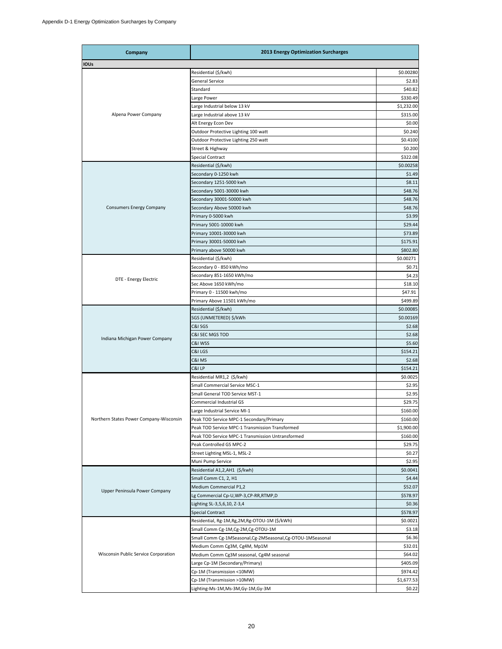| Company                                 | <b>2013 Energy Optimization Surcharges</b>                |                                                                                                                                                                                                                                                                                                                                                           |  |  |  |  |
|-----------------------------------------|-----------------------------------------------------------|-----------------------------------------------------------------------------------------------------------------------------------------------------------------------------------------------------------------------------------------------------------------------------------------------------------------------------------------------------------|--|--|--|--|
| IOUs                                    |                                                           |                                                                                                                                                                                                                                                                                                                                                           |  |  |  |  |
|                                         | Residential (\$/kwh)                                      | \$0.00280                                                                                                                                                                                                                                                                                                                                                 |  |  |  |  |
|                                         | <b>General Service</b>                                    |                                                                                                                                                                                                                                                                                                                                                           |  |  |  |  |
|                                         | Standard                                                  |                                                                                                                                                                                                                                                                                                                                                           |  |  |  |  |
|                                         | Large Power                                               | \$2.83<br>\$40.82<br>\$330.49<br>\$1,232.00<br>\$315.00<br>\$0.00<br>\$0.240<br>\$0.4100<br>\$0.200<br>\$0.00258<br>\$29.44<br>\$73.89<br>\$175.91<br>\$802.80<br>\$0.00271<br>\$0.71<br>\$47.91<br>\$2.68<br>\$5.60<br>\$154.21<br>\$2.68<br>\$154.21<br>\$0.0025<br>\$2.95<br>\$2.95<br>\$4.44<br>\$52.07<br>\$578.97<br>\$0.36<br>\$578.97<br>\$0.0021 |  |  |  |  |
|                                         | Large Industrial below 13 kV                              |                                                                                                                                                                                                                                                                                                                                                           |  |  |  |  |
| Alpena Power Company                    |                                                           |                                                                                                                                                                                                                                                                                                                                                           |  |  |  |  |
|                                         | Large Industrial above 13 kV                              |                                                                                                                                                                                                                                                                                                                                                           |  |  |  |  |
|                                         | Alt Energy Econ Dev                                       |                                                                                                                                                                                                                                                                                                                                                           |  |  |  |  |
|                                         | Outdoor Protective Lighting 100 watt                      |                                                                                                                                                                                                                                                                                                                                                           |  |  |  |  |
|                                         | Outdoor Protective Lighting 250 watt                      |                                                                                                                                                                                                                                                                                                                                                           |  |  |  |  |
|                                         | Street & Highway                                          |                                                                                                                                                                                                                                                                                                                                                           |  |  |  |  |
|                                         | Special Contract                                          | \$322.08                                                                                                                                                                                                                                                                                                                                                  |  |  |  |  |
|                                         | Residential (\$/kwh)                                      |                                                                                                                                                                                                                                                                                                                                                           |  |  |  |  |
|                                         | Secondary 0-1250 kwh                                      | \$1.49                                                                                                                                                                                                                                                                                                                                                    |  |  |  |  |
|                                         | Secondary 1251-5000 kwh                                   | \$8.11                                                                                                                                                                                                                                                                                                                                                    |  |  |  |  |
|                                         | Secondary 5001-30000 kwh                                  | \$48.76                                                                                                                                                                                                                                                                                                                                                   |  |  |  |  |
|                                         | Secondary 30001-50000 kwh                                 | \$48.76                                                                                                                                                                                                                                                                                                                                                   |  |  |  |  |
| <b>Consumers Energy Company</b>         | Secondary Above 50000 kwh                                 | \$48.76                                                                                                                                                                                                                                                                                                                                                   |  |  |  |  |
|                                         | Primary 0-5000 kwh                                        | \$3.99                                                                                                                                                                                                                                                                                                                                                    |  |  |  |  |
|                                         | Primary 5001-10000 kwh                                    |                                                                                                                                                                                                                                                                                                                                                           |  |  |  |  |
|                                         | Primary 10001-30000 kwh                                   |                                                                                                                                                                                                                                                                                                                                                           |  |  |  |  |
|                                         | Primary 30001-50000 kwh                                   |                                                                                                                                                                                                                                                                                                                                                           |  |  |  |  |
|                                         |                                                           |                                                                                                                                                                                                                                                                                                                                                           |  |  |  |  |
|                                         | Primary above 50000 kwh                                   |                                                                                                                                                                                                                                                                                                                                                           |  |  |  |  |
|                                         | Residential (\$/kwh)                                      |                                                                                                                                                                                                                                                                                                                                                           |  |  |  |  |
|                                         | Secondary 0 - 850 kWh/mo                                  |                                                                                                                                                                                                                                                                                                                                                           |  |  |  |  |
| DTE - Energy Electric                   | Secondary 851-1650 kWh/mo                                 | \$4.23                                                                                                                                                                                                                                                                                                                                                    |  |  |  |  |
|                                         | Sec Above 1650 kWh/mo                                     | \$18.10                                                                                                                                                                                                                                                                                                                                                   |  |  |  |  |
|                                         | Primary 0 - 11500 kwh/mo                                  |                                                                                                                                                                                                                                                                                                                                                           |  |  |  |  |
|                                         | Primary Above 11501 kWh/mo                                | \$499.89                                                                                                                                                                                                                                                                                                                                                  |  |  |  |  |
|                                         | Residential (\$/kwh)                                      | \$0.00085                                                                                                                                                                                                                                                                                                                                                 |  |  |  |  |
|                                         | SGS (UNMETERED) \$/kWh                                    | \$0.00169                                                                                                                                                                                                                                                                                                                                                 |  |  |  |  |
|                                         | C&I SGS                                                   | \$2.68                                                                                                                                                                                                                                                                                                                                                    |  |  |  |  |
|                                         | C&I SEC MGS TOD                                           |                                                                                                                                                                                                                                                                                                                                                           |  |  |  |  |
| Indiana Michigan Power Company          | C&I WSS                                                   |                                                                                                                                                                                                                                                                                                                                                           |  |  |  |  |
|                                         | C&I LGS                                                   |                                                                                                                                                                                                                                                                                                                                                           |  |  |  |  |
|                                         | C&I MS                                                    |                                                                                                                                                                                                                                                                                                                                                           |  |  |  |  |
|                                         | C&I LP                                                    |                                                                                                                                                                                                                                                                                                                                                           |  |  |  |  |
|                                         |                                                           |                                                                                                                                                                                                                                                                                                                                                           |  |  |  |  |
|                                         | Residential MR1,2 (\$/kwh)                                |                                                                                                                                                                                                                                                                                                                                                           |  |  |  |  |
|                                         | Small Commercial Service MSC-1                            |                                                                                                                                                                                                                                                                                                                                                           |  |  |  |  |
|                                         | Small General TOD Service MST-1                           |                                                                                                                                                                                                                                                                                                                                                           |  |  |  |  |
|                                         | Commercial Industrial GS                                  | \$29.75                                                                                                                                                                                                                                                                                                                                                   |  |  |  |  |
|                                         | Large Industrial Service MI-1                             | \$160.00                                                                                                                                                                                                                                                                                                                                                  |  |  |  |  |
| Northern States Power Company-Wisconsin | Peak TOD Service MPC-1 Secondary/Primary                  | \$160.00                                                                                                                                                                                                                                                                                                                                                  |  |  |  |  |
|                                         | Peak TOD Service MPC-1 Transmission Transformed           | \$1,900.00                                                                                                                                                                                                                                                                                                                                                |  |  |  |  |
|                                         | Peak TOD Service MPC-1 Transmission Untransformed         | \$160.00                                                                                                                                                                                                                                                                                                                                                  |  |  |  |  |
|                                         | Peak Controlled GS MPC-2                                  | \$29.75                                                                                                                                                                                                                                                                                                                                                   |  |  |  |  |
|                                         | Street Lighting MSL-1, MSL-2                              | \$0.27                                                                                                                                                                                                                                                                                                                                                    |  |  |  |  |
|                                         | Muni Pump Service                                         | \$2.95                                                                                                                                                                                                                                                                                                                                                    |  |  |  |  |
|                                         | Residential A1,2, AH1 (\$/kwh)                            | \$0.0041                                                                                                                                                                                                                                                                                                                                                  |  |  |  |  |
|                                         | Small Comm C1, 2, H1                                      |                                                                                                                                                                                                                                                                                                                                                           |  |  |  |  |
|                                         | Medium Commercial P1,2                                    |                                                                                                                                                                                                                                                                                                                                                           |  |  |  |  |
| Upper Peninsula Power Company           |                                                           |                                                                                                                                                                                                                                                                                                                                                           |  |  |  |  |
|                                         | Lg Commercial Cp-U,WP-3,CP-RR,RTMP,D                      |                                                                                                                                                                                                                                                                                                                                                           |  |  |  |  |
|                                         | Lighting SL-3,5,6,10, Z-3,4                               |                                                                                                                                                                                                                                                                                                                                                           |  |  |  |  |
|                                         | <b>Special Contract</b>                                   |                                                                                                                                                                                                                                                                                                                                                           |  |  |  |  |
|                                         | Residential, Rg-1M, Rg, 2M, Rg-OTOU-1M (\$/kWh)           |                                                                                                                                                                                                                                                                                                                                                           |  |  |  |  |
|                                         | Small Comm Cg-1M,Cg-2M,Cg-OTOU-1M                         | \$3.18                                                                                                                                                                                                                                                                                                                                                    |  |  |  |  |
|                                         | Small Comm Cg-1MSeasonal,Cg-2MSeasonal,Cg-OTOU-1MSeasonal | \$6.36                                                                                                                                                                                                                                                                                                                                                    |  |  |  |  |
|                                         | Medium Comm Cg3M, Cg4M, Mp1M                              | \$32.01                                                                                                                                                                                                                                                                                                                                                   |  |  |  |  |
| Wisconsin Public Service Corporation    | Medium Comm Cg3M seasonal, Cg4M seasonal                  | \$64.02                                                                                                                                                                                                                                                                                                                                                   |  |  |  |  |
|                                         | Large Cp-1M (Secondary/Primary)                           | \$405.09                                                                                                                                                                                                                                                                                                                                                  |  |  |  |  |
|                                         | Cp-1M (Transmission <10MW)                                | \$974.42                                                                                                                                                                                                                                                                                                                                                  |  |  |  |  |
|                                         | Cp-1M (Transmission >10MW)                                | \$1,677.53                                                                                                                                                                                                                                                                                                                                                |  |  |  |  |
|                                         | Lighting-Ms-1M,Ms-3M,Gy-1M,Gy-3M                          | \$0.22                                                                                                                                                                                                                                                                                                                                                    |  |  |  |  |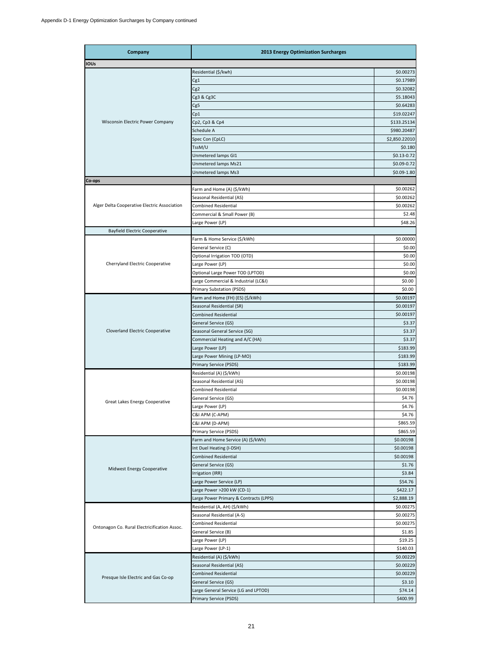| Company                                      | <b>2013 Energy Optimization Surcharges</b> |                |
|----------------------------------------------|--------------------------------------------|----------------|
| <b>IOUs</b>                                  |                                            |                |
|                                              | Residential (\$/kwh)                       | \$0.00273      |
|                                              | Cg1                                        | \$0.17989      |
|                                              | Cg <sub>2</sub>                            | \$0.32082      |
|                                              | Cg3 & Cg3C                                 | \$5.18043      |
|                                              | Cg5                                        | \$0.64283      |
|                                              | Cp1                                        | \$19.02247     |
| Wisconsin Electric Power Company             | Cp2, Cp3 & Cp4                             | \$133.25134    |
|                                              | Schedule A                                 | \$980.20487    |
|                                              | Spec Con (CpLC)                            | \$2,850.22010  |
|                                              | TssM/U                                     | \$0.180        |
|                                              | Unmetered lamps GI1                        | $$0.13 - 0.72$ |
|                                              | Unmetered lamps Ms21                       | \$0.09-0.72    |
|                                              | Unmetered lamps Ms3                        | \$0.09-1.80    |
| Co-ops                                       |                                            |                |
|                                              | Farm and Home (A) (\$/kWh)                 | \$0.00262      |
|                                              | Seasonal Residential (AS)                  | \$0.00262      |
| Alger Delta Cooperative Electric Association | <b>Combined Residential</b>                | \$0.00262      |
|                                              | Commercial & Small Power (B)               | \$2.48         |
|                                              | Large Power (LP)                           |                |
|                                              |                                            | \$48.26        |
| <b>Bayfield Electric Cooperative</b>         |                                            |                |
|                                              | Farm & Home Service (\$/kWh)               | \$0.00000      |
|                                              | General Service (C)                        | \$0.00         |
|                                              | Optional Irrigation TOD (OTD)              | \$0.00         |
| Cherryland Electric Cooperative              | Large Power (LP)                           | \$0.00         |
|                                              | Optional Large Power TOD (LPTOD)           | \$0.00         |
|                                              | Large Commercial & Industrial (LC&I)       | \$0.00         |
|                                              | Primary Substation (PSDS)                  | \$0.00         |
|                                              | Farm and Home (FH) (ES) (\$/kWh)           | \$0.00197      |
|                                              | Seasonal Residential (SR)                  | \$0.00197      |
|                                              | <b>Combined Residential</b>                | \$0.00197      |
|                                              | General Service (GS)                       | \$3.37         |
| Cloverland Electric Cooperative              | Seasonal General Service (SG)              | \$3.37         |
|                                              | Commercial Heating and A/C (HA)            | \$3.37         |
|                                              | Large Power (LP)                           | \$183.99       |
|                                              | Large Power Mining (LP-MO)                 | \$183.99       |
|                                              | Primary Service (PSDS)                     | \$183.99       |
|                                              | Residential (A) (\$/kWh)                   | \$0.00198      |
|                                              | Seasonal Residential (AS)                  | \$0.00198      |
|                                              | <b>Combined Residential</b>                | \$0.00198      |
| Great Lakes Energy Cooperative               | General Service (GS)                       | \$4.76         |
|                                              | Large Power (LP)                           | \$4.76         |
|                                              | C&I APM (C-APM)                            | \$4.76         |
|                                              | C&I APM (D-APM)                            | \$865.59       |
|                                              | Primary Service (PSDS)                     | \$865.59       |
|                                              | Farm and Home Service (A) (\$/kWh)         | \$0.00198      |
|                                              | Int Duel Heating (I-DSH)                   | \$0.00198      |
|                                              | <b>Combined Residential</b>                | \$0.00198      |
|                                              | General Service (GS)                       | \$1.76         |
| Midwest Energy Cooperative                   | Irrigation (IRR)                           | \$3.84         |
|                                              | Large Power Service (LP)                   | \$54.76        |
|                                              | Large Power >200 kW (CD-1)                 | \$422.17       |
|                                              | Large Power Primary & Contracts (LPPS)     | \$2,888.19     |
|                                              | Residential (A, AH) (\$/kWh)               | \$0.00275      |
|                                              | Seasonal Residential (A-S)                 | \$0.00275      |
|                                              | <b>Combined Residential</b>                | \$0.00275      |
| Ontonagon Co. Rural Electricification Assoc. | General Service (B)                        | \$1.85         |
|                                              | Large Power (LP)                           | \$19.25        |
|                                              |                                            | \$140.03       |
|                                              | Large Power (LP-1)                         |                |
|                                              | Residential (A) (\$/kWh)                   | \$0.00229      |
|                                              | Seasonal Residential (AS)                  | \$0.00229      |
| Presque Isle Electric and Gas Co-op          | <b>Combined Residential</b>                | \$0.00229      |
|                                              | General Service (GS)                       | \$3.10         |
|                                              | Large General Service (LG and LPTOD)       | \$74.14        |
|                                              | Primary Service (PSDS)                     | \$400.99       |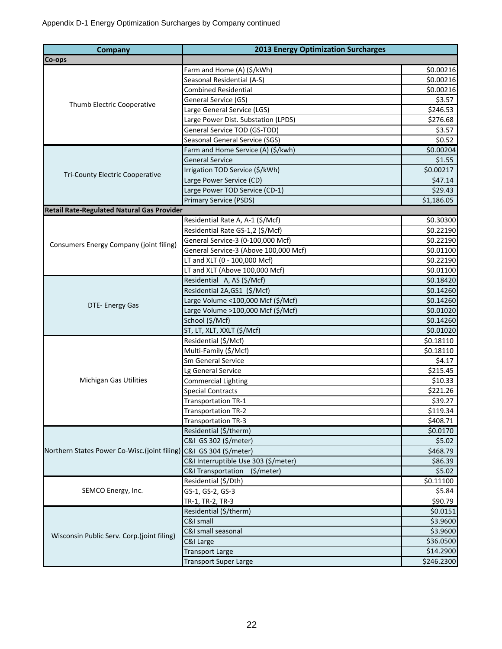| Company                                                            | <b>2013 Energy Optimization Surcharges</b> |            |  |  |  |  |
|--------------------------------------------------------------------|--------------------------------------------|------------|--|--|--|--|
| Co-ops                                                             |                                            |            |  |  |  |  |
|                                                                    | Farm and Home (A) (\$/kWh)                 | \$0.00216  |  |  |  |  |
|                                                                    | Seasonal Residential (A-S)                 | \$0.00216  |  |  |  |  |
| Thumb Electric Cooperative                                         | <b>Combined Residential</b>                | \$0.00216  |  |  |  |  |
|                                                                    | General Service (GS)                       | \$3.57     |  |  |  |  |
|                                                                    | Large General Service (LGS)                | \$246.53   |  |  |  |  |
|                                                                    | Large Power Dist. Substation (LPDS)        | \$276.68   |  |  |  |  |
|                                                                    | General Service TOD (GS-TOD)               | \$3.57     |  |  |  |  |
|                                                                    | Seasonal General Service (SGS)             | \$0.52     |  |  |  |  |
|                                                                    | Farm and Home Service (A) (\$/kwh)         | \$0.00204  |  |  |  |  |
|                                                                    | <b>General Service</b>                     | \$1.55     |  |  |  |  |
|                                                                    | Irrigation TOD Service (\$/kWh)            | \$0.00217  |  |  |  |  |
| Tri-County Electric Cooperative                                    | Large Power Service (CD)                   | \$47.14    |  |  |  |  |
|                                                                    | Large Power TOD Service (CD-1)             | \$29.43    |  |  |  |  |
|                                                                    | <b>Primary Service (PSDS)</b>              | \$1,186.05 |  |  |  |  |
| Retail Rate-Regulated Natural Gas Provider                         |                                            |            |  |  |  |  |
|                                                                    | Residential Rate A, A-1 (\$/Mcf)           | \$0.30300  |  |  |  |  |
|                                                                    | Residential Rate GS-1,2 (\$/Mcf)           | \$0.22190  |  |  |  |  |
| Consumers Energy Company (joint filing)                            | General Service-3 (0-100,000 Mcf)          | \$0.22190  |  |  |  |  |
|                                                                    | General Service-3 (Above 100,000 Mcf)      | \$0.01100  |  |  |  |  |
|                                                                    | LT and XLT (0 - 100,000 Mcf)               | \$0.22190  |  |  |  |  |
|                                                                    | LT and XLT (Above 100,000 Mcf)             | \$0.01100  |  |  |  |  |
|                                                                    | Residential A, AS (\$/Mcf)                 | \$0.18420  |  |  |  |  |
|                                                                    | Residential 2A, GS1 (\$/Mcf)               | \$0.14260  |  |  |  |  |
|                                                                    | Large Volume <100,000 Mcf (\$/Mcf)         | \$0.14260  |  |  |  |  |
| DTE- Energy Gas                                                    | Large Volume >100,000 Mcf (\$/Mcf)         | \$0.01020  |  |  |  |  |
|                                                                    | School (\$/Mcf)                            | \$0.14260  |  |  |  |  |
|                                                                    | ST, LT, XLT, XXLT (\$/Mcf)                 | \$0.01020  |  |  |  |  |
|                                                                    | Residential (\$/Mcf)                       | \$0.18110  |  |  |  |  |
|                                                                    | Multi-Family (\$/Mcf)                      | \$0.18110  |  |  |  |  |
|                                                                    | Sm General Service                         | \$4.17     |  |  |  |  |
|                                                                    | Lg General Service                         | \$215.45   |  |  |  |  |
| <b>Michigan Gas Utilities</b>                                      | <b>Commercial Lighting</b>                 | \$10.33    |  |  |  |  |
|                                                                    | <b>Special Contracts</b>                   | \$221.26   |  |  |  |  |
|                                                                    | <b>Transportation TR-1</b>                 | \$39.27    |  |  |  |  |
|                                                                    | Transportation TR-2                        | \$119.34   |  |  |  |  |
|                                                                    | <b>Transportation TR-3</b>                 | \$408.71   |  |  |  |  |
|                                                                    | Residential (\$/therm)                     | \$0.0170   |  |  |  |  |
|                                                                    | C&I GS 302 (\$/meter)                      | \$5.02     |  |  |  |  |
| Northern States Power Co-Wisc.(joint filing) C&I GS 304 (\$/meter) |                                            | \$468.79   |  |  |  |  |
|                                                                    | C&I Interruptible Use 303 (\$/meter)       | \$86.39    |  |  |  |  |
|                                                                    | C&I Transportation<br>$($ \$/meter)        | \$5.02     |  |  |  |  |
|                                                                    | Residential (\$/Dth)                       | \$0.11100  |  |  |  |  |
| SEMCO Energy, Inc.                                                 | GS-1, GS-2, GS-3                           | \$5.84     |  |  |  |  |
|                                                                    | TR-1, TR-2, TR-3                           | \$90.79    |  |  |  |  |
|                                                                    | Residential (\$/therm)                     | \$0.0151   |  |  |  |  |
|                                                                    | C&I small                                  | \$3.9600   |  |  |  |  |
| Wisconsin Public Serv. Corp.(joint filing)                         | C&I small seasonal                         | \$3.9600   |  |  |  |  |
|                                                                    | C&I Large                                  | \$36.0500  |  |  |  |  |
|                                                                    | <b>Transport Large</b>                     | \$14.2900  |  |  |  |  |
|                                                                    | <b>Transport Super Large</b>               | \$246.2300 |  |  |  |  |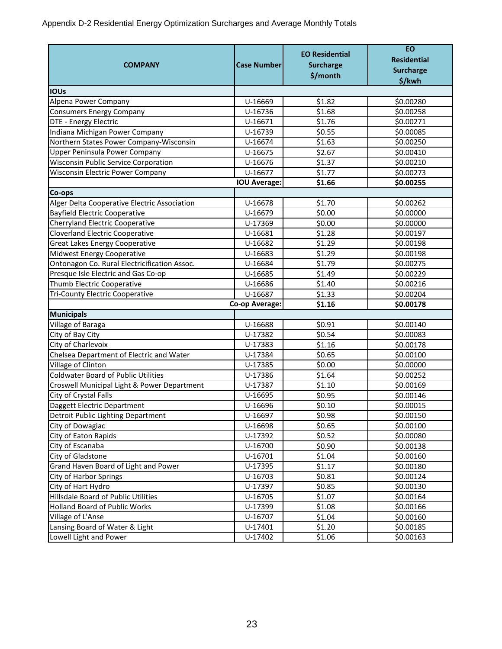Appendix D-2 Residential Energy Optimization Surcharges and Average Monthly Totals

|                                                                           |                       | <b>EO Residential</b> | <b>EO</b><br><b>Residential</b> |
|---------------------------------------------------------------------------|-----------------------|-----------------------|---------------------------------|
| <b>COMPANY</b>                                                            | <b>Case Number</b>    | <b>Surcharge</b>      |                                 |
|                                                                           |                       | \$/month              | <b>Surcharge</b>                |
| <b>IOUs</b>                                                               |                       |                       | \$/kwh                          |
| Alpena Power Company                                                      | U-16669               | \$1.82                | \$0.00280                       |
|                                                                           | U-16736               | \$1.68                | \$0.00258                       |
| <b>Consumers Energy Company</b><br>DTE - Energy Electric                  | U-16671               | \$1.76                | \$0.00271                       |
|                                                                           | U-16739               | \$0.55                | \$0.00085                       |
| Indiana Michigan Power Company<br>Northern States Power Company-Wisconsin | U-16674               | \$1.63                | \$0.00250                       |
|                                                                           |                       |                       |                                 |
| Upper Peninsula Power Company                                             | U-16675               | \$2.67                | \$0.00410                       |
| <b>Wisconsin Public Service Corporation</b>                               | U-16676               | \$1.37                | \$0.00210                       |
| <b>Wisconsin Electric Power Company</b>                                   | U-16677               | \$1.77                | \$0.00273                       |
|                                                                           | <b>IOU Average:</b>   | \$1.66                | \$0.00255                       |
| Co-ops                                                                    |                       |                       |                                 |
| Alger Delta Cooperative Electric Association                              | U-16678               | \$1.70                | \$0.00262                       |
| <b>Bayfield Electric Cooperative</b>                                      | U-16679               | \$0.00                | \$0.00000                       |
| <b>Cherryland Electric Cooperative</b>                                    | U-17369               | \$0.00                | \$0.00000                       |
| <b>Cloverland Electric Cooperative</b>                                    | U-16681               | \$1.28                | \$0.00197                       |
| <b>Great Lakes Energy Cooperative</b>                                     | U-16682               | \$1.29                | \$0.00198                       |
| Midwest Energy Cooperative                                                | U-16683               | \$1.29                | \$0.00198                       |
| Ontonagon Co. Rural Electricification Assoc.                              | U-16684               | \$1.79                | \$0.00275                       |
| Presque Isle Electric and Gas Co-op                                       | U-16685               | \$1.49                | \$0.00229                       |
| Thumb Electric Cooperative                                                | U-16686               | \$1.40                | \$0.00216                       |
| <b>Tri-County Electric Cooperative</b>                                    | U-16687               | \$1.33                | \$0.00204                       |
|                                                                           | Co-op Average:        | \$1.16                | \$0.00178                       |
| <b>Municipals</b>                                                         |                       |                       |                                 |
| Village of Baraga                                                         | U-16688               | \$0.91                | \$0.00140                       |
| City of Bay City                                                          | U-17382               | \$0.54                | \$0.00083                       |
| City of Charlevoix                                                        | U-17383               | \$1.16                | \$0.00178                       |
| Chelsea Department of Electric and Water                                  | U-17384               | \$0.65                | \$0.00100                       |
| Village of Clinton                                                        | U-17385               | \$0.00                | \$0.00000                       |
| <b>Coldwater Board of Public Utilities</b>                                | $\overline{U}$ -17386 | \$1.64                | \$0.00252                       |
| Croswell Municipal Light & Power Department                               | U-17387               | \$1.10                | \$0.00169                       |
| City of Crystal Falls                                                     | U-16695               | \$0.95                | \$0.00146                       |
| Daggett Electric Department                                               | U-16696               | \$0.10                | \$0.00015                       |
| Detroit Public Lighting Department                                        | U-16697               | \$0.98                | \$0.00150                       |
| City of Dowagiac                                                          | U-16698               | \$0.65                | \$0.00100                       |
| City of Eaton Rapids                                                      | U-17392               | \$0.52                | \$0.00080                       |
| City of Escanaba                                                          | U-16700               | \$0.90                | \$0.00138                       |
| City of Gladstone                                                         | U-16701               | \$1.04                | \$0.00160                       |
| Grand Haven Board of Light and Power                                      | U-17395               | \$1.17                | \$0.00180                       |
| <b>City of Harbor Springs</b>                                             | U-16703               | \$0.81                | \$0.00124                       |
| City of Hart Hydro                                                        | U-17397               | \$0.85                | \$0.00130                       |
| Hillsdale Board of Public Utilities                                       | U-16705               | \$1.07                | \$0.00164                       |
| Holland Board of Public Works                                             | U-17399               | \$1.08                | \$0.00166                       |
| Village of L'Anse                                                         | U-16707               | \$1.04                | \$0.00160                       |
| Lansing Board of Water & Light                                            | U-17401               | \$1.20                | \$0.00185                       |
| Lowell Light and Power                                                    | U-17402               | \$1.06                | \$0.00163                       |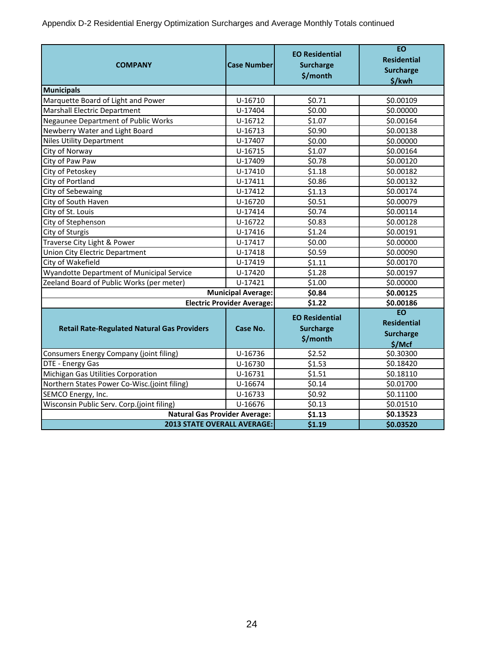Appendix D-2 Residential Energy Optimization Surcharges and Average Monthly Totals continued

| <b>COMPANY</b>                                     | <b>Case Number</b>                | <b>EO Residential</b><br><b>Surcharge</b><br>\$/month | <b>EO</b><br><b>Residential</b><br><b>Surcharge</b><br>\$/kwh |
|----------------------------------------------------|-----------------------------------|-------------------------------------------------------|---------------------------------------------------------------|
| <b>Municipals</b>                                  |                                   |                                                       |                                                               |
| Marquette Board of Light and Power                 | U-16710                           | \$0.71                                                | \$0.00109                                                     |
| Marshall Electric Department                       | U-17404                           | \$0.00                                                | \$0.00000                                                     |
| <b>Negaunee Department of Public Works</b>         | U-16712                           | \$1.07                                                | \$0.00164                                                     |
| Newberry Water and Light Board                     | U-16713                           | \$0.90                                                | \$0.00138                                                     |
| <b>Niles Utility Department</b>                    | U-17407                           | \$0.00                                                | \$0.00000                                                     |
| City of Norway                                     | U-16715                           | \$1.07                                                | \$0.00164                                                     |
| City of Paw Paw                                    | U-17409                           | \$0.78                                                | \$0.00120                                                     |
| City of Petoskey                                   | U-17410                           | \$1.18                                                | \$0.00182                                                     |
| City of Portland                                   | U-17411                           | \$0.86                                                | \$0.00132                                                     |
| City of Sebewaing                                  | U-17412                           | \$1.13                                                | \$0.00174                                                     |
| City of South Haven                                | U-16720                           | \$0.51                                                | \$0.00079                                                     |
| City of St. Louis                                  | U-17414                           | \$0.74                                                | \$0.00114                                                     |
| City of Stephenson                                 | U-16722                           | \$0.83                                                | \$0.00128                                                     |
| City of Sturgis                                    | U-17416                           | \$1.24                                                | \$0.00191                                                     |
| Traverse City Light & Power                        | U-17417                           | \$0.00                                                | \$0.00000                                                     |
| Union City Electric Department                     | U-17418                           | \$0.59                                                | \$0.00090                                                     |
| City of Wakefield                                  | U-17419                           | \$1.11                                                | \$0.00170                                                     |
| Wyandotte Department of Municipal Service          | U-17420                           | \$1.28                                                | \$0.00197                                                     |
| Zeeland Board of Public Works (per meter)          | U-17421                           | \$1.00                                                | \$0.00000                                                     |
|                                                    | <b>Municipal Average:</b>         | \$0.84                                                | \$0.00125                                                     |
|                                                    | <b>Electric Provider Average:</b> | \$1.22                                                | \$0.00186                                                     |
| <b>Retail Rate-Regulated Natural Gas Providers</b> | Case No.                          | <b>EO Residential</b><br><b>Surcharge</b><br>\$/month | <b>EO</b><br><b>Residential</b><br><b>Surcharge</b><br>\$/Mcf |
| Consumers Energy Company (joint filing)            | U-16736                           | \$2.52                                                | \$0.30300                                                     |
| DTE - Energy Gas                                   | U-16730                           | \$1.53                                                | \$0.18420                                                     |
| Michigan Gas Utilities Corporation                 | U-16731                           | \$1.51                                                | \$0.18110                                                     |
| Northern States Power Co-Wisc.(joint filing)       | U-16674                           | \$0.14                                                | \$0.01700                                                     |
| SEMCO Energy, Inc.                                 | U-16733                           | \$0.92                                                | \$0.11100                                                     |
| Wisconsin Public Serv. Corp.(joint filing)         | U-16676                           | \$0.13                                                | \$0.01510                                                     |
| <b>Natural Gas Provider Average:</b>               |                                   | \$1.13                                                | \$0.13523                                                     |
| <b>2013 STATE OVERALL AVERAGE:</b>                 |                                   | \$1.19                                                | \$0.03520                                                     |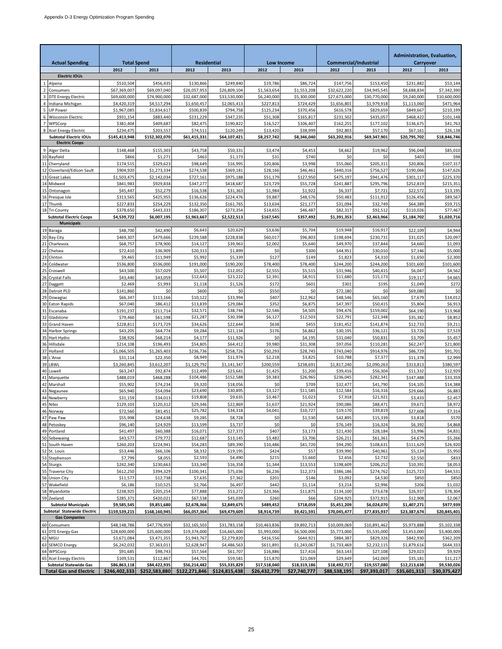| <b>Actual Spending</b>                              | <b>Total Spend</b>        |                             | <b>Residential</b>        |                           | Low Income              |                         |                           | <b>Commercial/Industrial</b> | Administration, Evaluation,<br>Carryover |                        |
|-----------------------------------------------------|---------------------------|-----------------------------|---------------------------|---------------------------|-------------------------|-------------------------|---------------------------|------------------------------|------------------------------------------|------------------------|
|                                                     | 2012                      | 2013                        | 2012                      | 2013                      | 2012                    | 2013                    | 2012                      | 2013                         | 2012                                     | 2013                   |
| <b>Electric IOUs</b>                                |                           |                             |                           |                           |                         |                         |                           |                              |                                          |                        |
| Alpena<br>Consumers<br>2                            | \$510,504<br>\$67,369,007 | \$456,435<br>\$69,097,040   | \$130,866<br>\$26.057.953 | \$249,840<br>\$26,809,104 | \$19,786<br>\$1,563,654 | \$86,724<br>\$1,553,208 | \$147,756<br>\$32,622,220 | \$153,450<br>\$34,945,545    | \$231,882<br>\$8,688,834                 | \$53,144<br>\$7,342,39 |
| <b>DTE Energy Electric</b>                          | \$69,600,000              | \$74,900,000                | \$32,687,000              | \$33,530,000              | \$6,240,000             | \$5,300,000             | \$27,673,000              | \$30,770,000                 | \$9,240,000                              | \$10,600,000           |
| Indiana Michigan                                    | \$4,420,319               | \$4,517,294                 | \$1,650,457               | \$2,065,413               | \$227,813               | \$724,429               | \$1,656,801               | \$1,979,918                  | \$1,113,060                              | \$471,96               |
| <b>UP Power</b><br>5                                | \$1,967,085               | \$1,834,617                 | \$500,839                 | \$794,758                 | \$125,234               | \$370,456               | \$616,578                 | \$829,659                    | \$849,667                                | \$210,199              |
| Wisconsin Electric<br>WPSCorp                       | \$931,154<br>\$381,404    | \$883,440<br>\$409,687      | \$231,229<br>\$82,475     | \$347,235<br>\$190,822    | \$51,308<br>\$16,527    | \$165,817<br>\$106,407  | \$231,502<br>\$162,255    | \$435,057<br>\$177,102       | \$468,422<br>\$136,675                   | \$101,148<br>\$41,763  |
| <b>Xcel Energy Electric</b><br>$\mathbf{R}$         | \$234,475                 | \$203,557                   | \$74,511                  | \$120,249                 | \$13,420                | \$38,999                | \$92,803                  | \$57,170                     | \$67,161                                 | \$26,138               |
| <b>Subtotal Electric IOUs</b>                       | \$145,413,948             | \$152,302,070               | \$61,415,331              | \$64,107,421              | \$8,257,742             | \$8,346,040             | \$63,202,916              | \$69,347,901                 | \$20,795,702                             | \$18,846,746           |
| <b>Electric Coops</b>                               |                           |                             |                           |                           |                         |                         |                           |                              |                                          |                        |
| 9<br>Alger Delta<br>10<br>Bayfield                  | \$148,468<br>\$866        | \$155,303<br>\$1,271        | \$43,758<br>\$463         | \$50,331<br>\$1,173       | \$3,474<br>\$31         | \$4,453<br>\$740        | \$8,662<br>\$0            | \$19,962<br>\$0              | \$96,048<br>\$403                        | \$85,010<br>\$98       |
| Cherryland                                          | \$174,515                 | \$329,623                   | \$98,649                  | \$16,995                  | \$20,806                | \$3,998                 | \$55,060                  | \$205,311                    | \$20,806                                 | \$107,317              |
| Cloverland/Edison Sault                             | \$904,920                 | \$1,273,334                 | \$274,538                 | \$369,181                 | \$28,166                | \$46,461                | \$440,316                 | \$756,527                    | \$190,066                                | \$147,626              |
| Great Lakes                                         | \$1,503,475               | \$2,142,034                 | \$727,161                 | \$975,188                 | \$51,179                | \$127,950               | \$475,197                 | \$941,476                    | \$301,117                                | \$225,370              |
| Midwest<br>14<br>Ontonagon                          | \$841,983<br>\$45,447     | \$929,834<br>\$52,279       | \$347,277<br>\$16,538     | \$418,687<br>\$31,363     | \$23,729<br>\$1,984     | \$55,728<br>\$1,922     | \$241,887<br>\$6,337      | \$295,796<br>\$7,721         | \$252,819<br>\$22,572                    | \$215,35<br>\$13,195   |
| Presque Isle<br>16                                  | \$313,565                 | \$425,955                   | \$136,626                 | \$224,476                 | \$9,887                 | \$48,576                | \$50,483                  | \$111,912                    | \$126,456                                | \$89,56                |
| 17<br>Thumb                                         | \$227,833                 | \$254,229                   | \$132,350                 | \$161,765                 | \$13,634                | \$21,177                | \$31,094                  | \$32,749                     | \$64,389                                 | \$59,71                |
| Tri-County                                          | \$378,650                 | \$443,333                   | \$186,307                 | \$273,354                 | \$14,655                | \$46,487                | \$82,317                  | \$92,512                     | \$110,026                                | \$77,467               |
| <b>Subtotal Electric Coops</b><br><b>Municipals</b> | \$4,539,722               | \$6,007,195                 | \$1,963,667               | \$2,522,513               | \$167,545               | \$357,492               | \$1,391,353               | \$2,463,966                  | \$1,184,702                              | \$1,020,716            |
| 19 Baraga                                           | \$48,700                  | \$42,490                    | \$6,643                   | \$20,629                  | \$3,636                 | \$5,704                 | \$19,948                  | \$16,917                     | \$22,109                                 | \$4,944                |
| <b>Bay City</b><br>20                               | \$469,307                 | \$479,666                   | \$239,588                 | \$228,838                 | \$60,017                | \$96,803                | \$198,694                 | \$230,731                    | \$31,025                                 | \$20,097               |
| Charlevoix<br>21                                    | \$68,757                  | \$78,900                    | \$14,127                  | \$39,963                  | \$2,002                 | \$5,640                 | \$49,970                  | \$37,844                     | \$4,660                                  | \$1,093                |
| Chelsea<br>22                                       | \$72,410                  | \$36,909                    | \$20,313                  | \$1,899                   | \$0                     | \$300                   | \$44,951                  | \$30,010                     | \$7,146                                  | \$5,000                |
| Clinton<br>23<br>Coldwater                          | \$9,465<br>\$536,800      | \$11,949<br>\$536,000       | \$5,992<br>\$191,000      | \$5,339<br>\$190,200      | \$127<br>\$78,400       | \$149<br>\$78,400       | \$1,823<br>\$244,200      | \$4,310<br>\$244,200         | \$1,650<br>\$101,600                     | \$2,300<br>\$101,600   |
| 24<br>Croswell                                      | \$43,500                  | \$57,029                    | \$5,507                   | \$12,052                  | \$2,555                 | \$5,515                 | \$31,946                  | \$40,415                     | \$6,047                                  | \$4,56                 |
| 26<br>Crystal Falls                                 | \$43,440                  | \$43,059                    | \$12,643                  | \$23,222                  | \$2,391                 | \$8,915                 | \$11,680                  | \$15,173                     | \$19,117                                 | \$4,665                |
| Daggett<br>27                                       | \$2,469                   | \$1,993                     | \$1,118                   | \$1,526                   | \$172                   | \$601                   | \$301                     | \$195                        | \$1,049                                  | \$272                  |
| 28<br>Detroit PLD                                   | \$141,860                 | \$0                         | \$600                     | \$0                       | \$550                   | \$0                     | \$72,180                  | \$0                          | \$69,080                                 | \$C                    |
| 29<br>Dowagiac<br><b>Eaton Rapids</b><br>30         | \$66,347<br>\$67,040      | \$113,166<br>\$86,412       | \$10,122<br>\$13,839      | \$33,994<br>\$29,084      | \$407<br>\$352          | \$12,962<br>\$6,875     | \$48,546<br>\$47,397      | \$65,160<br>\$50,415         | \$7,679<br>\$5,804                       | \$14,01<br>\$6,91      |
| Escanaba<br>31                                      | \$191,237                 | \$211,714                   | \$32,571                  | \$38,744                  | \$2,546                 | \$4,505                 | \$94,476                  | \$159,002                    | \$64,190                                 | \$13,968               |
| Gladstone<br>32                                     | \$79,460                  | \$61,598                    | \$21,287                  | \$30,398                  | \$6,127                 | \$12,503                | \$22,791                  | \$22,348                     | \$35,382                                 | \$8,85                 |
| <b>Grand Haven</b><br>33                            | \$228,811                 | \$173,729                   | \$34,626                  | \$22,644                  | \$638                   | \$455                   | \$181,452                 | \$141,874                    | \$12,733                                 | \$9,21                 |
| <b>Harbor Springs</b><br>34<br>35                   | \$43,205<br>\$38,926      | \$64,774<br>\$68,214        | \$9,284<br>\$4,177        | \$21,134<br>\$11,926      | \$176<br>\$0            | \$6,862<br>\$4,195      | \$30,195<br>\$31,040      | \$36,121<br>\$50,831         | \$3,726<br>\$3,709                       | \$7,519                |
| Hart Hydro<br>Hillsdale<br>36                       | \$214,108                 | \$196,493                   | \$54,805                  | \$64,412                  | \$9,980                 | \$31,308                | \$97,056                  | \$110,281                    | \$62,247                                 | \$5,457<br>\$21,800    |
| 37<br>Holland                                       | \$1,066,505               | \$1,265,403                 | \$236,736                 | \$258,726                 | \$50,293                | \$28,745                | \$743,040                 | \$914,976                    | \$86,729                                 | \$91,70                |
| L'Anse<br>38                                        | \$31,114                  | \$22,350                    | \$8,949                   | \$11,974                  | \$2,218                 | \$3,825                 | \$10,788                  | \$7,377                      | \$11,378                                 | \$2,999                |
| LBWL<br>39                                          | \$3,260,845               | \$3,612,207                 | \$1,129,792               | \$1,141,347               | \$200,559               | \$238,691               | \$1,817,240               | \$2,090,263                  | \$313,813                                | \$380,59               |
| 40<br>Lowell<br>41<br>Marquette                     | \$63,247<br>\$488.019     | \$92,874<br>\$468,288       | \$12,499<br>\$104,486     | \$23,641<br>\$152,588     | \$1,425<br>\$9,383      | \$1,200<br>\$26,965     | \$39,416<br>\$236,045     | \$56,304<br>\$282,341        | \$11,332<br>\$147,488                    | \$12,929<br>\$33,359   |
| Marshall<br>42                                      | \$55,902                  | \$74,234                    | \$9,320                   | \$18,056                  | \$0                     | \$709                   | \$32,477                  | \$41,790                     | \$14,105                                 | \$14,388               |
| 43<br>Negaunee                                      | \$65,940                  | \$54,094                    | \$23,690                  | \$30,895                  | \$3,127                 | \$11,585                | \$12,584                  | \$16,316                     | \$29,666                                 | \$6,88                 |
| Newberry<br>44                                      | \$31,159                  | \$34,013                    | \$19,808                  | \$9,635                   | \$3,467                 | \$1,023                 | \$7,918                   | \$21,921                     | \$3,433                                  | \$2,457                |
| <b>Niles</b><br>45<br>46 Norway                     | \$129,103                 | \$120,312<br>\$81,451       | \$29,346<br>\$25,782      | \$22,869<br>\$34,318      | \$1,637<br>\$4,041      | \$21,924<br>\$10,727    | \$90,086<br>\$19,170      | \$88,471<br>\$39,819         | \$9,671<br>\$27,608                      | \$8,972                |
| 47<br>Paw Paw                                       | \$72,560<br>\$55,998      | \$24,638                    | \$9,285                   | \$8,728                   | \$0                     | \$1,530                 | \$42,895                  | \$15,339                     | \$3,818                                  | \$7,314<br>\$570       |
| 48 Petoskey                                         | \$96,140                  | \$24,929                    | \$13,599                  | \$3,737                   | \$0                     | \$0                     | \$76,149                  | \$16,324                     | \$6,392                                  | \$4,868                |
| 49 Portland                                         | \$41,497                  | \$60,388                    | \$16,071                  | \$27,373                  | \$407                   | \$3,173                 | \$21,430                  | \$28,184                     | \$3,996                                  | \$4,831                |
| 50<br>Sebewaing                                     | \$43,577                  | \$79,772                    | \$12,687                  | \$13,145                  | \$3,482                 | \$3,706                 | \$26,211                  | \$61,361                     | \$4,679                                  | \$5,266                |
| 51<br>South Haven<br>St. Louis<br>52                | \$260,203<br>\$53,446     | \$224,941<br>\$66,106       | \$54,283<br>\$8,332       | \$89,390<br>\$19,195      | \$10,486<br>\$424       | \$41,720<br>\$57        | \$94,290<br>\$39,990      | \$108,631<br>\$40,961        | \$111,629<br>\$5,124                     | \$26,920<br>\$5,950    |
| Stephenson<br>53                                    | \$7,799                   | \$8,055                     | \$2,593                   | \$4,490                   | \$215                   | \$1,660                 | \$2,656                   | \$2,732                      | \$2,550                                  | \$833                  |
| 54<br>Sturgis                                       | \$242,340                 | \$230,663                   | \$33,340                  | \$16,358                  | \$1,344                 | \$13,553                | \$198,609                 | \$206,252                    | \$10,391                                 | \$8,053                |
| 55<br><b>Traverse City</b>                          | \$612,250                 | \$394,329                   | \$100,341                 | \$75,036                  | \$6,236                 | \$12,373                | \$386,186                 | \$274,762                    | \$125,723                                | \$44,531               |
| <b>Union City</b><br>56<br>57<br>Wakefield          | \$11,577<br>\$6,186       | \$12,738<br>\$10,525        | \$7,635<br>\$2,766        | \$7,362<br>\$6,497        | \$201<br>\$442          | \$146<br>\$1,114        | \$3,092<br>\$3,214        | \$4,530<br>\$2,996           | \$850<br>\$206                           | \$850<br>\$1,032       |
| Wyandotte<br>58                                     | \$238,925                 | \$205,254                   | \$77,888                  | \$53,272                  | \$23,366                | \$11,875                | \$134,100                 | \$73,678                     | \$26,937                                 | \$78,304               |
| 59 Zeeland                                          | \$285,371                 | \$420,021                   | \$67,538                  | \$45,039                  | \$260                   | \$66                    | \$204,925                 | \$372,915                    | \$12,908                                 | \$2,067                |
| <b>Subtotal Municipals</b>                          | \$9,585,545               | \$9,851,680                 | \$2,678,366               | \$2,849,675               | \$489,452               | \$718,059               | \$5,451,209               | \$6,024,070                  | \$1,407,271                              | \$977,939              |
| Subtotal Statewide Electric<br><b>Gas Companies</b> | \$159,539,215             | \$168,160,945               | \$66,057,364              | \$69,479,609              | \$8,914,739             | \$9,421,591             | \$70,045,477              | \$77,835,937                 | \$23,387,674                             | \$20,845,401           |
| 60 Consumers                                        | \$48,148,786              | \$47,776,959                | \$32,165,503              | \$31,783,158              | \$10,463,836            | \$9,892,713             | \$10,009,069              | \$10,891,462                 | \$5,973,888                              | \$5,102,338            |
| DTE Energy Gas<br>61                                | \$28,600,000              | \$25,600,000                | \$19,374,000              | \$16,665,000              | \$5,993,000             | \$6,500,000             | \$5,773,000               | \$5,535,000                  | \$3,453,000                              | \$3,400,000            |
| 62<br>MGU                                           | \$3,671,084               | \$3,471,355                 | \$1,943,767               | \$2,279,820               | \$416,556               | \$644,921               | \$884,387                 | \$829,326                    | \$842,930                                | \$362,209              |
| <b>SEMCO Energy</b><br>63                           | \$6,242,032               | \$7,363,011<br>\$98,743     | \$2,628,947               | \$4,486,563               | \$611,891               | \$1,243,067             | \$1,733,469               | \$2,232,115<br>\$27,108      | \$1,879,616<br>\$29,023                  | \$644,333<br>\$9,929   |
| WPSCorp<br>64<br>65 Xcel Energy Electric            | \$91,685<br>\$109,531     | \$112,867                   | \$57,564<br>\$44,701      | \$61,707<br>\$59,581      | \$16,886<br>\$15,870    | \$17,416<br>\$21,069    | \$63,143<br>\$29,649      | \$42,069                     | \$35,181                                 | \$11,217               |
| <b>Subtotal Statewide Gas</b>                       | \$86,863,118              | \$84,422,935                | \$56,214,482              | \$55,335,829              | \$17,518,040            | \$18,319,186            | \$18,492,717              | \$19,557,080                 | \$12,213,638                             | \$9,530,026            |
| <b>Total Gas and Electric</b>                       |                           | \$246,402,333 \$252,583,880 | \$122,271,846             | \$124,815,438             | \$26,432,779            | \$27,740,777            | \$88,538,195              | \$97,393,017                 | \$35,601,313                             | \$30,375,427           |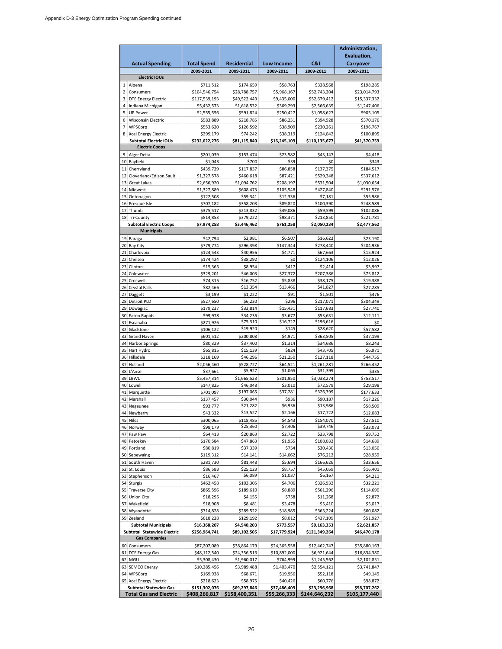|                        |                                                           |                               |                             |                           |                              | Administration,<br>Evaluation, |
|------------------------|-----------------------------------------------------------|-------------------------------|-----------------------------|---------------------------|------------------------------|--------------------------------|
| <b>Actual Spending</b> |                                                           | <b>Total Spend</b>            | <b>Residential</b>          | Low Income                | C&I                          | Carryover                      |
|                        |                                                           | 2009-2011                     | 2009-2011                   | 2009-2011                 | 2009-2011                    | 2009-2011                      |
|                        | <b>Electric IOUs</b>                                      |                               |                             |                           |                              |                                |
| 1<br>$\overline{2}$    | Alpena<br>Consumers                                       | \$711,512<br>\$104,546,754    | \$174,659<br>\$28,788,757   | \$58,763<br>\$5,968,167   | \$338,568<br>\$52,743,204    | \$198,285<br>\$23,014,793      |
| 3                      | <b>DTE Energy Electric</b>                                | \$117,539,193                 | \$49,522,449                | \$9,435,000               | \$52,679,412                 | \$15,337,332                   |
| 4                      | Indiana Michigan                                          | \$5,432,573                   | \$1,618,532                 | \$369,293                 | \$2,566,635                  | \$1,247,406                    |
| 5                      | <b>UP Power</b>                                           | \$2,555,556                   | \$591,824                   | \$250,427                 | \$1,058,627                  | \$905,105                      |
| 6<br>$\overline{7}$    | <b>Wisconsin Electric</b><br>WPSCorp                      | \$983,889                     | \$218,785                   | \$86,231                  | \$394,928                    | \$370,176                      |
|                        | 8 Xcel Energy Electric                                    | \$553,620<br>\$299,179        | \$126,592<br>\$74,242       | \$38,909<br>\$38,319      | \$230,261<br>\$124,042       | \$196,767<br>\$100,895         |
|                        | <b>Subtotal Electric IOUs</b>                             | \$232,622,276                 | \$81,115,840                | \$16,245,109              | \$110,135,677                | \$41,370,759                   |
|                        | <b>Electric Coops</b>                                     |                               |                             |                           |                              |                                |
| 9                      | Alger Delta                                               | \$201,039                     | \$153,474                   | \$23,582                  | \$43,147                     | \$4,418                        |
| 11                     | 10 Bayfield<br>Cherryland                                 | \$1,043<br>\$439,729          | \$700<br>\$117,837          | \$39<br>\$86,858          | \$0<br>\$137,375             | \$343<br>\$184,517             |
|                        | 12 Cloverland/Edison Sault                                | \$1,327,578                   | \$460,618                   | \$87,421                  | \$529,348                    | \$337,612                      |
| 13                     | <b>Great Lakes</b>                                        | \$2,656,920                   | \$1,094,762                 | \$208,197                 | \$531,504                    | \$1,030,654                    |
| 14                     | Midwest                                                   | \$1,327,889                   | \$608,473                   | \$105,548                 | \$427,840                    | \$291,576                      |
| 15                     | Ontonagon                                                 | \$122,508                     | \$59,341                    | \$12,336                  | \$7,181                      | \$55,986                       |
| 16                     | Presque Isle<br>17 Thumb                                  | \$707,182<br>\$375,517        | \$358,203<br>\$213,832      | \$89,820<br>\$49,086      | \$100,390<br>\$59,599        | \$248,589<br>\$102,086         |
|                        | 18 Tri-County                                             | \$814,853                     | \$379,222                   | \$98,371                  | \$213,850                    | \$221,781                      |
|                        | <b>Subtotal Electric Coops</b>                            | \$7,974,258                   | \$3,446,462                 | \$761,258                 | \$2,050,234                  | \$2,477,562                    |
|                        | <b>Municipals</b>                                         |                               |                             |                           |                              |                                |
| 20                     | 19 Baraga<br>Bay City                                     | \$42,794<br>\$779,774         | \$2,981<br>\$296,398        | \$6,507<br>\$147.344      | \$16,623<br>\$278,440        | \$23,190<br>\$204,936          |
| 21                     | Charlevoix                                                | \$124,543                     | \$40,956                    | \$4,771                   | \$67,663                     | \$15,924                       |
| 22                     | Chelsea                                                   | \$174,424                     | \$38,292                    | \$0                       | \$124,106                    | \$12,026                       |
| 23                     | Clinton                                                   | \$15,365                      | \$8.954                     | \$417                     | \$2,414                      | \$3,997                        |
| 24                     | Coldwater                                                 | \$329,201                     | \$46,003                    | \$27,372                  | \$207,386                    | \$75,812                       |
| 25<br>26               | Croswell<br><b>Crystal Falls</b>                          | \$74,315<br>\$82,466          | \$16,752<br>\$13,354        | \$5,838<br>\$13,466       | \$38,175<br>\$41,827         | \$19,388<br>\$27,285           |
| 27                     | Daggett                                                   | \$3,199                       | \$1,222                     | \$91                      | \$1,501                      | \$476                          |
| 28                     | <b>Detroit PLD</b>                                        | \$527,650                     | \$6,230                     | \$296                     | \$217,071                    | \$304,349                      |
|                        | 29 Dowagiac                                               | \$179,237                     | \$33,814                    | \$15,431                  | \$117,683                    | \$27,740                       |
|                        | 30 Eaton Rapids                                           | \$99,978                      | \$34,236                    | \$3,677                   | \$53,631                     | \$12,111                       |
| 32                     | 31 Escanaba<br>Gladstone                                  | \$271,926<br>\$106,122        | \$75,310<br>\$19,920        | \$16,727<br>\$145         | \$196,616<br>\$28,620        | \$0<br>\$57,582                |
| 33                     | <b>Grand Haven</b>                                        | \$601,512                     | \$200,808                   | \$4,971                   | \$363,505                    | \$37,199                       |
|                        | 34 Harbor Springs                                         | \$80,329                      | \$37,400                    | \$1,314                   | \$34,686                     | \$8,243                        |
|                        | 35 Hart Hydro                                             | \$65,815                      | \$15,139                    | \$824                     | \$43,705                     | \$6,971                        |
| 36                     | Hillsdale                                                 | \$218,169                     | \$46,296                    | \$21,250                  | \$127,118                    | \$44,755                       |
| 37<br>38               | Holland<br>L'Anse                                         | \$2,056,460<br>\$37,661       | \$528,727<br>\$5,927        | \$64,521<br>\$1,065       | \$1,261,281<br>\$31,399      | \$266,452<br>\$335             |
| 39                     | LBWL                                                      | \$5,457,314                   | \$1,665,523                 | \$301,950                 | \$3,038,274                  | \$753,517                      |
| 40                     | Lowell                                                    | \$147,825                     | \$46,048                    | \$3,010                   | \$72,579                     | \$29,198                       |
| 41                     | Marquette                                                 | \$701,097                     | \$197,065                   | \$37,281                  | \$326,399                    | \$177,633                      |
| 42                     | Marshall                                                  | \$137.457                     | \$30,044<br>\$21,282        | \$936<br>\$6,936          | \$90,187                     | \$17,226                       |
|                        | 43 Negaunee<br>44 Newberry                                | \$93,777<br>\$43,332          | \$13,527                    | \$2,166                   | \$13,986<br>\$17,722         | \$58,509<br>\$12,083           |
| 45                     | Niles                                                     | \$300,065                     | \$118,485                   | \$4,543                   | \$154,070                    | \$27,510                       |
|                        | 46 Norway                                                 | \$98,179                      | \$25,360                    | \$7,406                   | \$39,746                     | \$33,073                       |
|                        | 47 Paw Paw                                                | \$64,413                      | \$20,863                    | \$2,722                   | \$33,798                     | \$9,752                        |
|                        | 48 Petoskey<br>49 Portland                                | \$170,584<br>\$80,819         | \$47,863<br>\$37,339        | \$1,955<br>\$754          | \$108,032<br>\$30,430        | \$14,689<br>\$13,050           |
|                        | 50 Sebewaing                                              | \$119,312                     | \$14,141                    | \$14,062                  | \$76,212                     | \$28,959                       |
|                        | 51 South Haven                                            | \$281,730                     | \$81,448                    | \$5,694                   | \$166,626                    | \$33,656                       |
|                        | 52 St. Louis                                              | \$86,583                      | \$25,123                    | \$8,757                   | \$45,059                     | \$16,401                       |
|                        | 53 Stephenson                                             | \$16,467                      | \$6,089                     | \$1,037                   | \$6,167                      | \$4,211                        |
|                        | 54 Sturgis<br>55 Traverse City                            | \$462,458<br>\$865,596        | \$103,305<br>\$189,610      | \$4,706<br>\$8,889        | \$326,932<br>\$561,296       | \$32,221<br>\$114,690          |
|                        | 56 Union City                                             | \$18,295                      | \$4,155                     | \$758                     | \$11,268                     | \$2,872                        |
| 57                     | Wakefield                                                 | \$18,908                      | \$8,481                     | \$3,478                   | \$5,410                      | \$5,017                        |
| 58                     | Wyandotte                                                 | \$714,828                     | \$289,522                   | \$18,985                  | \$365,224                    | \$60,082                       |
| 59                     | Zeeland                                                   | \$618,228                     | \$129,192                   | \$8,012                   | \$437,109                    | \$51,927                       |
|                        | <b>Subtotal Municipals</b><br>Subtotal Statewide Electric | \$16,368,207<br>\$256,964,741 | \$4,540,203<br>\$89,102,505 | \$773,557<br>\$17,779,924 | \$9,163,353<br>\$121,349,264 | \$2,621,857<br>\$46,470,178    |
|                        | <b>Gas Companies</b>                                      |                               |                             |                           |                              |                                |
|                        | 60 Consumers                                              | \$87,207,089                  | \$38,864,179                | \$24,365,558              | \$12,462,747                 | \$35,880,163                   |
| 61                     | <b>DTE Energy Gas</b>                                     | \$48,112,540                  | \$24,356,516                | \$10,892,000              | \$6,921,644                  | \$16,834,380                   |
|                        | 62 MGU<br>63 SEMCO Energy                                 | \$5,308,430<br>\$10,285,456   | \$1,960,017<br>\$3,989,488  | \$764,999<br>\$1,403,470  | \$1,245,562<br>\$2,554,121   | \$2,102,851<br>\$3,741,847     |
|                        | 64 WPSCorp                                                | \$169,938                     | \$68,671                    | \$19,956                  | \$52,118                     | \$49,149                       |
|                        | 65 Xcel Energy Electric                                   | \$218,623                     | \$58,975                    | \$40,426                  | \$60,776                     | \$98,872                       |
|                        | <b>Subtotal Statewide Gas</b>                             | \$151,302,076                 | \$69,297,846                | \$37,486,409              | \$23,296,968                 | \$58,707,262                   |
|                        | <b>Total Gas and Electric</b>                             | \$408,266,817                 | \$158,400,351               | \$55,266,333              | \$144,646,232                | \$105,177,440                  |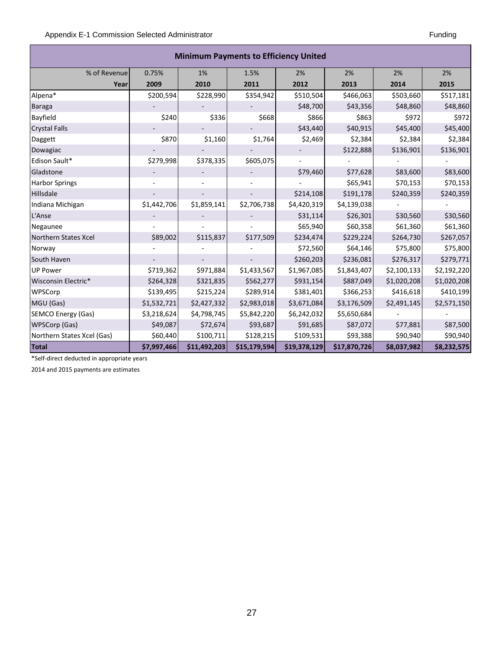Г

| <b>Minimum Payments to Efficiency United</b> |             |              |              |              |              |             |             |  |
|----------------------------------------------|-------------|--------------|--------------|--------------|--------------|-------------|-------------|--|
| % of Revenue                                 | 0.75%       | 1%           | 1.5%         | 2%           | 2%           | 2%          | 2%          |  |
| Year                                         | 2009        | 2010         | 2011         | 2012         | 2013         | 2014        | 2015        |  |
| Alpena*                                      | \$200,594   | \$228,990    | \$354,942    | \$510,504    | \$466,063    | \$503,660   | \$517,181   |  |
| <b>Baraga</b>                                |             |              |              | \$48,700     | \$43,356     | \$48,860    | \$48,860    |  |
| Bayfield                                     | \$240       | \$336        | \$668        | \$866        | \$863        | \$972       | \$972       |  |
| <b>Crystal Falls</b>                         |             |              |              | \$43,440     | \$40,915     | \$45,400    | \$45,400    |  |
| Daggett                                      | \$870       | \$1,160      | \$1,764      | \$2,469      | \$2,384      | \$2,384     | \$2,384     |  |
| Dowagiac                                     |             |              |              |              | \$122,888    | \$136,901   | \$136,901   |  |
| Edison Sault*                                | \$279,998   | \$378,335    | \$605,075    |              |              |             |             |  |
| Gladstone                                    |             |              |              | \$79,460     | \$77,628     | \$83,600    | \$83,600    |  |
| <b>Harbor Springs</b>                        |             |              |              |              | \$65,941     | \$70,153    | \$70,153    |  |
| Hillsdale                                    |             |              |              | \$214,108    | \$191,178    | \$240,359   | \$240,359   |  |
| Indiana Michigan                             | \$1,442,706 | \$1,859,141  | \$2,706,738  | \$4,420,319  | \$4,139,038  |             |             |  |
| L'Anse                                       |             |              |              | \$31,114     | \$26,301     | \$30,560    | \$30,560    |  |
| Negaunee                                     |             |              |              | \$65,940     | \$60,358     | \$61,360    | \$61,360    |  |
| Northern States Xcel                         | \$89,002    | \$115,837    | \$177,509    | \$234,474    | \$229,224    | \$264,730   | \$267,057   |  |
| Norway                                       |             |              |              | \$72,560     | \$64,146     | \$75,800    | \$75,800    |  |
| South Haven                                  |             |              |              | \$260,203    | \$236,081    | \$276,317   | \$279,771   |  |
| <b>UP Power</b>                              | \$719,362   | \$971,884    | \$1,433,567  | \$1,967,085  | \$1,843,407  | \$2,100,133 | \$2,192,220 |  |
| Wisconsin Electric*                          | \$264,328   | \$321,835    | \$562,277    | \$931,154    | \$887,049    | \$1,020,208 | \$1,020,208 |  |
| WPSCorp                                      | \$139,495   | \$215,224    | \$289,914    | \$381,401    | \$366,253    | \$416,618   | \$410,199   |  |
| MGU (Gas)                                    | \$1,532,721 | \$2,427,332  | \$2,983,018  | \$3,671,084  | \$3,176,509  | \$2,491,145 | \$2,571,150 |  |
| <b>SEMCO Energy (Gas)</b>                    | \$3,218,624 | \$4,798,745  | \$5,842,220  | \$6,242,032  | \$5,650,684  |             |             |  |
| WPSCorp (Gas)                                | \$49,087    | \$72,674     | \$93,687     | \$91,685     | \$87,072     | \$77,881    | \$87,500    |  |
| Northern States Xcel (Gas)                   | \$60,440    | \$100,711    | \$128,215    | \$109,531    | \$93,388     | \$90,940    | \$90,940    |  |
| Total                                        | \$7,997,466 | \$11,492,203 | \$15,179,594 | \$19,378,129 | \$17,870,726 | \$8,037,982 | \$8,232,575 |  |

\*Self-direct deducted in appropriate years

2014 and 2015 payments are estimates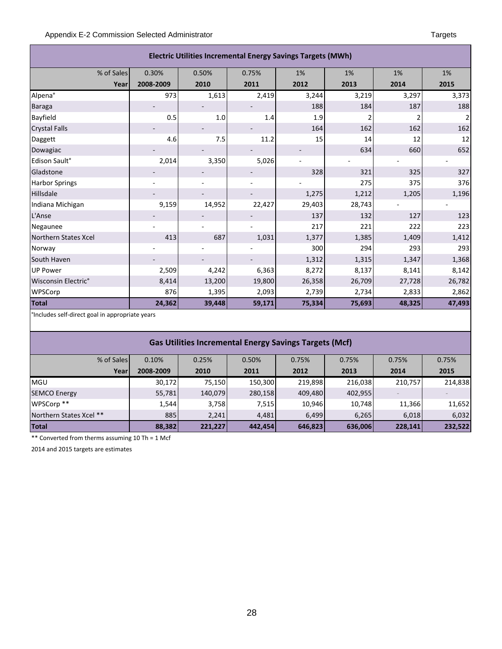| <b>Electric Utilities Incremental Energy Savings Targets (MWh)</b> |           |        |        |        |        |        |        |  |  |
|--------------------------------------------------------------------|-----------|--------|--------|--------|--------|--------|--------|--|--|
| % of Sales                                                         | 0.30%     | 0.50%  | 0.75%  | 1%     | 1%     | 1%     | 1%     |  |  |
| Year                                                               | 2008-2009 | 2010   | 2011   | 2012   | 2013   | 2014   | 2015   |  |  |
| Alpena°                                                            | 973       | 1,613  | 2,419  | 3,244  | 3,219  | 3,297  | 3,373  |  |  |
| <b>Baraga</b>                                                      |           |        |        | 188    | 184    | 187    | 188    |  |  |
| Bayfield                                                           | 0.5       | 1.0    | 1.4    | 1.9    |        | 2      | 2      |  |  |
| <b>Crystal Falls</b>                                               |           |        |        | 164    | 162    | 162    | 162    |  |  |
| Daggett                                                            | 4.6       | 7.5    | 11.2   | 15     | 14     | 12     | 12     |  |  |
| Dowagiac                                                           |           |        |        |        | 634    | 660    | 652    |  |  |
| Edison Sault°                                                      | 2,014     | 3,350  | 5,026  |        |        |        |        |  |  |
| Gladstone                                                          |           |        |        | 328    | 321    | 325    | 327    |  |  |
| <b>Harbor Springs</b>                                              |           |        |        |        | 275    | 375    | 376    |  |  |
| Hillsdale                                                          |           |        |        | 1,275  | 1,212  | 1,205  | 1,196  |  |  |
| Indiana Michigan                                                   | 9,159     | 14,952 | 22,427 | 29,403 | 28,743 |        |        |  |  |
| L'Anse                                                             |           |        |        | 137    | 132    | 127    | 123    |  |  |
| Negaunee                                                           |           |        |        | 217    | 221    | 222    | 223    |  |  |
| Northern States Xcel                                               | 413       | 687    | 1,031  | 1,377  | 1,385  | 1,409  | 1,412  |  |  |
| Norway                                                             |           |        |        | 300    | 294    | 293    | 293    |  |  |
| South Haven                                                        |           |        |        | 1,312  | 1,315  | 1,347  | 1,368  |  |  |
| <b>UP Power</b>                                                    | 2,509     | 4,242  | 6,363  | 8,272  | 8,137  | 8,141  | 8,142  |  |  |
| Wisconsin Electric°                                                | 8,414     | 13,200 | 19,800 | 26,358 | 26,709 | 27,728 | 26,782 |  |  |
| WPSCorp                                                            | 876       | 1,395  | 2,093  | 2,739  | 2,734  | 2,833  | 2,862  |  |  |
| <b>Total</b>                                                       | 24,362    | 39,448 | 59,171 | 75,334 | 75,693 | 48,325 | 47,493 |  |  |

°Includes self-direct goal in appropriate years

#### **Gas Utilities Incremental Energy Savings Targets (Mcf)**

| % of Sales              | 0.10%     | 0.25%   | 0.50%   | 0.75%   | 0.75%   | 0.75%   | 0.75%   |
|-------------------------|-----------|---------|---------|---------|---------|---------|---------|
| Year                    | 2008-2009 | 2010    | 2011    | 2012    | 2013    | 2014    | 2015    |
| <b>MGU</b>              | 30,172    | 75,150  | 150,300 | 219,898 | 216,038 | 210,757 | 214,838 |
| <b>SEMCO Energy</b>     | 55,781    | 140,079 | 280,158 | 409,480 | 402,955 |         |         |
| WPSCorp **              | 1,544     | 3,758   | 7,515   | 10,946  | 10,748  | 11,366  | 11,652  |
| Northern States Xcel ** | 885       | 2,241   | 4,481   | 6,499   | 6,265   | 6,018   | 6,032   |
| Total                   | 88,382    | 221,227 | 442,454 | 646,823 | 636,006 | 228,141 | 232,522 |

\*\* Converted from therms assuming 10 Th = 1 Mcf

2014 and 2015 targets are estimates